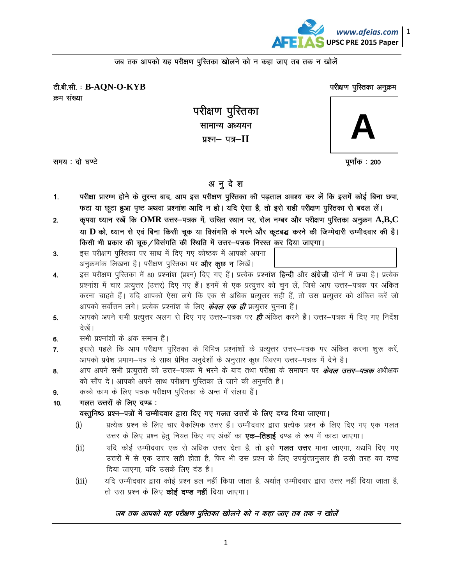

जब तक आपको यह परीक्षण पुस्तिका खोलने को न कहा जाए तब तक न खोलें

टी.बी.सी.: B-AQN-O-KYB क्रम संख्या

परीक्षण पुस्तिका अनुक्रम

पूर्णांक : 200

परीक्षण पुस्तिका सामान्य अध्ययन प्रश्न $-$  पत्र $-$ II

समय: दो घण्टे

# अनुदेश

- परीक्षा प्रारम्भ होने के तुरन्त बाद, आप इस परीक्षण पुस्तिका की पड़ताल अवश्य कर लें कि इसमें कोई बिना छपा,  $1.$ फटा या छूटा हुआ पृष्ट अथवा प्रश्नांश आदि न हो। यदि ऐसा है, तो इसे सही परीक्षण पुस्तिका से बदल लें।
- कृपया ध्यान रखें कि  $\bf OMR$  उत्तर-पत्रक में, उचित स्थान पर, रोल नम्बर और परीक्षण पुस्तिका अनुक्रम  $\bf A, \bf B, \bf C$  $2.$ या D को, ध्यान से एवं बिना किसी चूक या विसंगति के भरने और कूटबद्ध करने की जिम्मेदारी उम्मीदवार की है। किसी भी प्रकार की चूक/विसंगति की स्थिति में उत्तर-पत्रक निरस्त कर दिया जाएगा।
- इस परीक्षण पुस्तिका पर साथ में दिए गए कोष्ठक में आपको अपना  $3<sub>1</sub>$ अनुक्रमांक लिखना है। परीक्षण पुस्तिका पर **और कुछ न** लिखें।
- इस परीक्षण पुस्तिका में 80 प्रश्नांश (प्रश्न) दिए गए हैं। प्रत्येक प्रश्नांश **हिन्दी** और **अंग्रेजी** दोनों में छपा है। प्रत्येक 4. प्रश्नांश में चार प्रत्युत्तर (उत्तर) दिए गए हैं। इनमें से एक प्रत्युत्तर को चून लें, जिसे आप उत्तर–पत्रक पर अंकित करना चाहते हैं। यदि आपको ऐसा लगे कि एक से अधिक प्रत्युत्तर सही हैं, तो उस प्रत्युत्तर को अंकित करें जो आपको सर्वोत्तम लगे। प्रत्येक प्रश्नांश के लिए *केवल एक ही* प्रत्युत्तर चुनना हैं।
- आपको अपने सभी प्रत्युत्तर अलग से दिए गए उत्तर—पत्रक पर *ही* अंकित करने हैं। उत्तर—पत्रक में दिए गए निर्देश 5. देखें।
- सभी प्रश्नांशों के अंक समान हैं। 6.
- इससे पहले कि आप परीक्षण पुस्तिका के विभिन्न प्रश्नांशों के प्रत्युत्तर उत्तर–पत्रक पर अंकित करना शुरू करें,  $\overline{7}$ . आपको प्रवेश प्रमाण-पत्र के साथ प्रेषित अनुदेशों के अनुसार कुछ विवरण उत्तर-पत्रक में देने है।
- आप अपने सभी प्रत्यूत्तरों को उत्तर—पत्रक में भरने के बाद तथा परीक्षा के समापन पर *केवल उत्तर—पत्रक* अधीक्षक 8. को सौंप दें। आपको अपने साथ परीक्षण पुस्तिका ले जाने की अनुमति है।
- कच्चे काम के लिए पत्रक परीक्षण पुस्तिका के अन्त में संलग्न हैं। 9.

गलत उत्तरों के लिए दण्ड: 10.

वस्तुनिष्ठ प्रश्न-पत्रों में उम्मीदवार द्वारा दिए गए गलत उत्तरों के लिए दण्ड दिया जाएगा।

- प्रत्येक प्रश्न के लिए चार वैकल्पिक उत्तर हैं। उम्मीदवार द्वारा प्रत्येक प्रश्न के लिए दिए गए एक गलत  $(i)$ उत्तर के लिए प्रश्न हेतू नियत किए गए अंकों का **एक–तिहाई** दण्ड के रूप में काटा जाएगा।
- यदि कोई उम्मीदवार एक से अधिक उत्तर देता है, तो इसे **गलत उत्तर** माना जाएगा, यद्यपि दिए गए  $(ii)$ उत्तरों में से एक उत्तर सही होता है, फिर भी उस प्रश्न के लिए उपर्युक्तानुसार ही उसी तरह का दण्ड दिया जाएगा. यदि उसके लिए दंड है।
- यदि उम्मीदवार द्वारा कोई प्रश्न हल नहीं किया जाता है, अर्थात् उम्मीदवार द्वारा उत्तर नहीं दिया जाता है,  $(iii)$ तो उस प्रश्न के लिए **कोई दण्ड नहीं** दिया जाएगा।

# जब तक आपको यह परीक्षण पुस्तिका खोलने को न कहा जाए तब तक न खोलें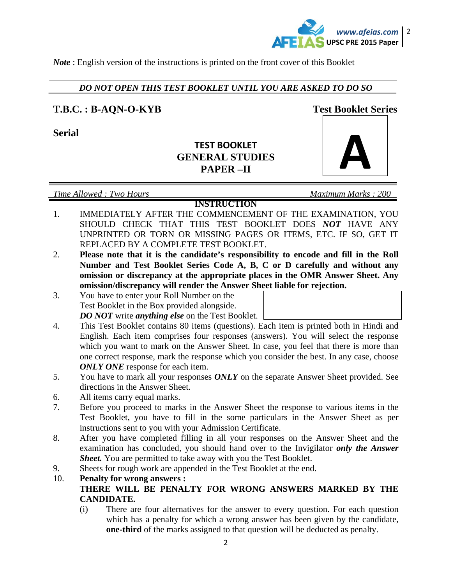

*Note* : English version of the instructions is printed on the front cover of this Booklet

*DO NOT OPEN THIS TEST BOOKLET UNTIL YOU ARE ASKED TO DO SO* 

# **T.B.C. : B-AQN-O-KYB Test Booklet Series**

**Serial** 

# **TEST BOOKLET GENERAL STUDIES PAPER –II**

# *Time Allowed : Two Hours Maximum Marks : 200*

- **INSTRUCTION**  1. IMMEDIATELY AFTER THE COMMENCEMENT OF THE EXAMINATION, YOU SHOULD CHECK THAT THIS TEST BOOKLET DOES *NOT* HAVE ANY UNPRINTED OR TORN OR MISSING PAGES OR ITEMS, ETC. IF SO, GET IT REPLACED BY A COMPLETE TEST BOOKLET.
- 2. **Please note that it is the candidate's responsibility to encode and fill in the Roll Number and Test Booklet Series Code A, B, C or D carefully and without any omission or discrepancy at the appropriate places in the OMR Answer Sheet. Any omission/discrepancy will render the Answer Sheet liable for rejection.**
- 3. You have to enter your Roll Number on the Test Booklet in the Box provided alongside. *DO NOT* write *anything else* on the Test Booklet.
- 4. This Test Booklet contains 80 items (questions). Each item is printed both in Hindi and English. Each item comprises four responses (answers). You will select the response which you want to mark on the Answer Sheet. In case, you feel that there is more than one correct response, mark the response which you consider the best. In any case, choose *ONLY ONE* response for each item.
- 5. You have to mark all your responses *ONLY* on the separate Answer Sheet provided. See directions in the Answer Sheet.
- 6. All items carry equal marks.
- 7. Before you proceed to marks in the Answer Sheet the response to various items in the Test Booklet, you have to fill in the some particulars in the Answer Sheet as per instructions sent to you with your Admission Certificate.
- 8. After you have completed filling in all your responses on the Answer Sheet and the examination has concluded, you should hand over to the Invigilator *only the Answer*  **Sheet.** You are permitted to take away with you the Test Booklet.
- 9. Sheets for rough work are appended in the Test Booklet at the end.

# 10. **Penalty for wrong answers : THERE WILL BE PENALTY FOR WRONG ANSWERS MARKED BY THE CANDIDATE.**

(i) There are four alternatives for the answer to every question. For each question which has a penalty for which a wrong answer has been given by the candidate, **one-third** of the marks assigned to that question will be deducted as penalty.

**A**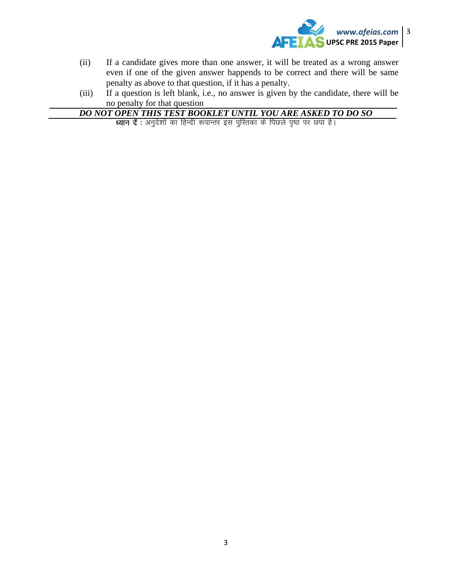

- If a candidate gives more than one answer, it will be treated as a wrong answer  $(ii)$ even if one of the given answer happends to be correct and there will be same penalty as above to that question, if it has a penalty.
- If a question is left blank, i.e., no answer is given by the candidate, there will be  $(iii)$ no penalty for that question

```
DO NOT OPEN THIS TEST BOOKLET UNTIL YOU ARE ASKED TO DO SO
```
<u>ध्यान दें : अनुदेशों का हिन्दी रूपान्तर इस पुस्तिका के पिछले पृष्ठ पर छपा है।</u>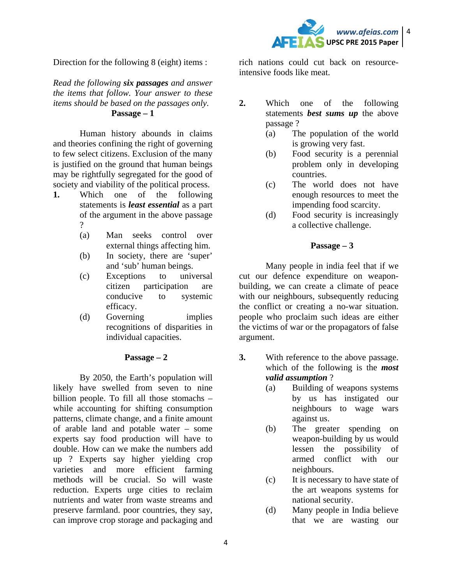

Direction for the following 8 (eight) items :

*Read the following six passages and answer the items that follow. Your answer to these items should be based on the passages only.*  **Passage – 1** 

Human history abounds in claims and theories confining the right of governing to few select citizens. Exclusion of the many is justified on the ground that human beings may be rightfully segregated for the good of society and viability of the political process.

- **1.** Which one of the following statements is *least essential* as a part of the argument in the above passage  $\mathcal{P}$ 
	- (a) Man seeks control over external things affecting him.
	- (b) In society, there are 'super' and 'sub' human beings.
	- (c) Exceptions to universal citizen participation are conducive to systemic efficacy.
	- (d) Governing implies recognitions of disparities in individual capacities.

# **Passage – 2**

By 2050, the Earth's population will likely have swelled from seven to nine billion people. To fill all those stomachs – while accounting for shifting consumption patterns, climate change, and a finite amount of arable land and potable water – some experts say food production will have to double. How can we make the numbers add up ? Experts say higher yielding crop varieties and more efficient farming methods will be crucial. So will waste reduction. Experts urge cities to reclaim nutrients and water from waste streams and preserve farmland. poor countries, they say, can improve crop storage and packaging and

rich nations could cut back on resourceintensive foods like meat.

- **2.** Which one of the following statements *best sums up* the above passage ?
	- (a) The population of the world is growing very fast.
	- (b) Food security is a perennial problem only in developing countries.
	- (c) The world does not have enough resources to meet the impending food scarcity.
	- (d) Food security is increasingly a collective challenge.

# **Passage – 3**

Many people in india feel that if we cut our defence expenditure on weaponbuilding, we can create a climate of peace with our neighbours, subsequently reducing the conflict or creating a no-war situation. people who proclaim such ideas are either the victims of war or the propagators of false argument.

- **3.** With reference to the above passage. which of the following is the *most valid assumption* ?
	- (a) Building of weapons systems by us has instigated our neighbours to wage wars against us.
	- (b) The greater spending on weapon-building by us would lessen the possibility of armed conflict with our neighbours.
	- (c) It is necessary to have state of the art weapons systems for national security.
	- (d) Many people in India believe that we are wasting our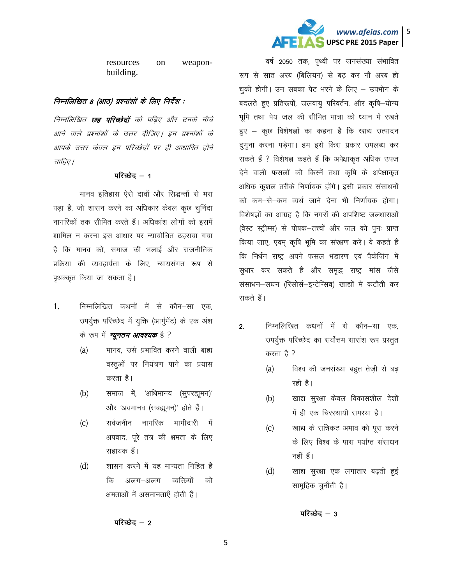

वर्ष 2050 तक, पृथ्वी पर जनसंख्या संभावित रूप से सात अरब (बिलियन) से बढ कर नौ अरब हो चुकी होगी। उन सबका पेट भरने के लिए – उपभोग के बदलते हुए प्रतिरूपों, जलवायु परिवर्तन, और कृषि—योग्य भूमि तथा पेय जल की सीमित मात्रा को ध्यान में रखते हुए – कुछ विशेषज्ञों का कहना है कि खाद्य उत्पादन दुगुना करना पड़ेगा। हम इसे किस प्रकार उपलब्ध कर सकते हैं ? विशेषज्ञ कहते हैं कि अपेक्षाकृत अधिक उपज देने वाली फसलों की किस्में तथा कृषि के अपेक्षाकृत अधिक कृशल तरीके निर्णायक होंगे। इसी प्रकार संसाधनों को कम-से-कम व्यर्थ जाने देना भी निर्णायक होगा। विशेषज्ञों का आग्रह है कि नगरों की अपशिष्ट जलधाराओं (वेस्ट स्ट्रीम्स) से पोषक–तत्त्वों और जल को पूनः प्राप्त किया जाए, एवम कृषि भूमि का संरक्षण करें। वे कहते हैं कि निर्धन राष्ट्र अपने फसल भंडारण एवं पैकेजिंग में सुधार कर सकते हैं और समृद्ध राष्ट्र मांस जैसे संसाधन-सघन (रिसोर्स-इन्टेन्सिव) खाद्यों में कटौती कर सकते हैं।

- निम्नलिखित कथनों में से कौन–सा एक  $2.$ उपर्युक्त परिच्छेद का सर्वोत्तम सारांश रूप प्रस्तुत करता है ?
	- $(a)$ विश्व की जनसंख्या बहुत तेज़ी से बढ़ रही है।
	- $(b)$ खाद्य सुरक्षा केवल विकासशील देशों में ही एक चिरस्थायी समस्या है।
	- खाद्य के सन्निकट अभाव को पूरा करने  $(c)$ के लिए विश्व के पास पर्याप्त संसाधन नहीं हैं।
	- खाद्य सुरक्षा एक लगातार बढ़ती हुई  $(d)$ सामूहिक चुनौती है।

परिच्छेद $-3$ 

resources weaponon building.

#### निम्नलिखित 8 (आठ) प्रश्नांशों के लिए निर्देश :

निम्नलिखित **छह परिच्छेदों** को पढिए और उनके नीचे आने वाले प्रश्नांशों के उत्तर दीजिए। इन प्रश्नांशों के आपके उत्तर केवल इन परिच्छेदों पर ही आधारित होने चाहिए ।

#### परिच्छेद $-1$

मानव इतिहास ऐसे दावों और सिद्धन्तों से भरा पड़ा है, जो शासन करने का अधिकार केवल कूछ चुनिंदा नागरिकों तक सीमित करते हैं। अधिकांश लोगों को इसमें शामिल न करना इस आधार पर न्यायोचित ठहराया गया है कि मानव को, समाज की भलाई और राजनीतिक प्रक्रिया की व्यवहार्यता के लिए, न्यायसंगत रूप से पृथक्कृत किया जा सकता है।

- $1<sup>1</sup>$ निम्नलिखित कथनों में से कौन-सा एक, उपर्युक्त परिच्छेद में युक्ति (आर्गुमेंट) के एक अंश के रूप में *न्यूनतम आवश्यक है ?* 
	- मानव, उसे प्रभावित करने वाली बाह्य  $(a)$ वस्तुओं पर नियंत्रण पाने का प्रयास करता है।
	- समाज में, 'अधिमानव (सुपरह्यूमन)'  $(b)$ और 'अवमानव (सबह्यूमन)' होते हैं।
	- सर्वजनीन नागरिक भागीदारी  $(c)$ में अपवाद, पूरे तंत्र की क्षमता के लिए सहायक हैं।
	- $(d)$ शासन करने में यह मान्यता निहित है व्यक्तियों की कि अलग-अलग क्षमताओं में असमानताएँ होती हैं।

परिच्छेद $-2$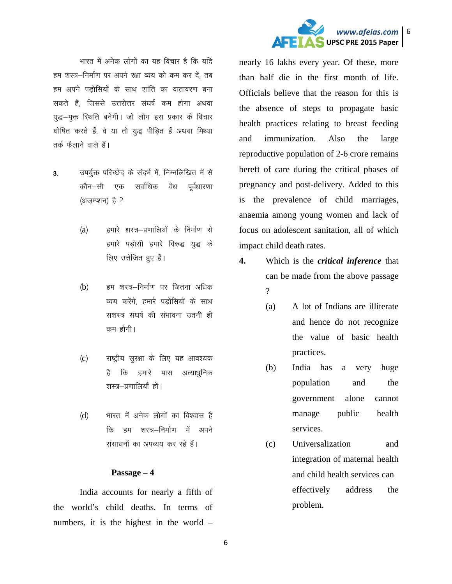

भारत में अनेक लोगों का यह विचार है कि यदि हम शस्त्र-निर्माण पर अपने रक्षा व्यय को कम कर दें. तब हम अपने पड़ोसियों के साथ शांति का वातावरण बना सकते हैं. जिससे उत्तरोत्तर संघर्ष कम होगा अथवा युद्ध–मूक्त स्थिति बनेगी। जो लोग इस प्रकार के विचार घोषित करते हैं, वे या तो युद्ध पीड़ित हैं अथवा मिथ्या तर्क फैलाने वाले हैं।

- उपर्युक्त परिच्छेद के संदर्भ में, निम्नलिखित में से  $3<sub>1</sub>$ कौन—सी सर्वाधिक एक वैध पूर्वधारणा (अजम्प्शन) है ?
	- हमारे शस्त्र-प्रणालियों के निर्माण से  $(a)$ हमारे पडोसी हमारे विरुद्ध युद्ध के लिए उत्तेजित हुए हैं।
	- हम शस्त्र–निर्माण पर जितना अधिक  $(b)$ व्यय करेंगे. हमारे पड़ोसियों के साथ सशस्त्र संघर्ष की संभावना उतनी ही कम होगी।
	- $(c)$ राष्ट्रीय सुरक्षा के लिए यह आवश्यक है कि हमारे पास अत्याधुनिक शस्त्र-प्रणालियाँ हों।
	- $(d)$ भारत में अनेक लोगों का विश्वास है क्रि हम शस्त्र–निर्माण में अपने संसाधनों का अपव्यय कर रहे हैं।

#### Passage  $-4$

India accounts for nearly a fifth of the world's child deaths. In terms of numbers, it is the highest in the world  $-$ 

nearly 16 lakhs every year. Of these, more than half die in the first month of life. Officials believe that the reason for this is the absence of steps to propagate basic health practices relating to breast feeding and immunization. Also the large reproductive population of 2-6 crore remains bereft of care during the critical phases of pregnancy and post-delivery. Added to this is the prevalence of child marriages, anaemia among young women and lack of focus on adolescent sanitation, all of which impact child death rates.

- 4. Which is the *critical inference* that can be made from the above passage  $\gamma$ 
	- (a) A lot of Indians are illiterate and hence do not recognize the value of basic health practices.
	- (b) India has  $\mathbf{a}$ huge very the population and government alone cannot manage public health services
	- Universalization  $(c)$ and integration of maternal health and child health services can effectively address the problem.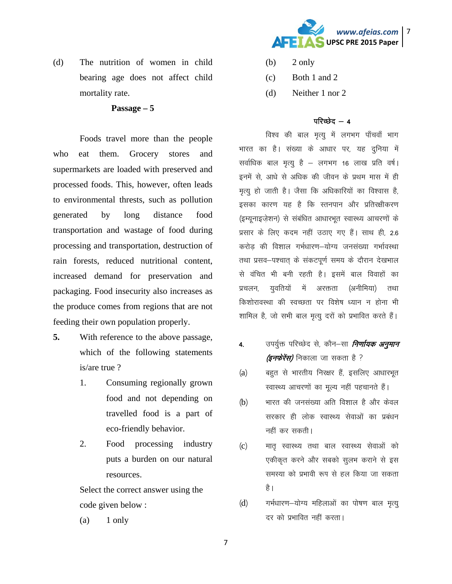



(d) The nutrition of women in child bearing age does not affect child mortality rate.

#### **Passage – 5**

Foods travel more than the people who eat them. Grocery stores and supermarkets are loaded with preserved and processed foods. This, however, often leads to environmental thrests, such as pollution generated by long distance food transportation and wastage of food during processing and transportation, destruction of rain forests, reduced nutritional content, increased demand for preservation and packaging. Food insecurity also increases as the produce comes from regions that are not feeding their own population properly.

- **5.** With reference to the above passage, which of the following statements is/are true ?
	- 1. Consuming regionally grown food and not depending on travelled food is a part of eco-friendly behavior.
	- 2. Food processing industry puts a burden on our natural resources.

Select the correct answer using the code given below :

 $(a)$  1 only

- $(b)$  2 only
- (c) Both 1 and 2
- (d) Neither 1 nor 2

#### परिच्छेद $-4$

विश्व की बाल मृत्यु में लगभग पाँचवाँ भाग भारत का है। संख्या के आधार पर, यह दुनिया में सर्वाधिक बाल मृत्यू है – लगभग 16 लाख प्रति वर्ष। इनमें से, आधे से अधिक की जीवन के प्रथम मास में ही मृत्यू हो जाती है। जैसा कि अधिकारियों का विश्वास है, इसका कारण यह है कि स्तनपान और प्रतिरक्षीकरण (इम्युनाइजेशन) से संबंधित आधारभूत स्वास्थ्य आचरणों के प्रसार के लिए कदम नहीं उठाए गए हैं। साथ ही, 2.6 करोड की विशाल गर्भधारण-योग्य जनसंख्या गर्भावस्था तथा प्रसव–पश्चात के संकटपूर्ण समय के दौरान देखभाल से वंचित भी बनी रहती है। इसमें बाल विवाहों का प्रचलन, युवतियों में अरक्तता (अनीमिया) तथा किशोरावस्था की स्वच्छता पर विशेष ध्यान न होना भी शामिल है, जो सभी बाल मृत्यू दरों को प्रभावित करते हैं।

- **4.** उपर्युक्त परिच्छेद से, कौन–सा *निर्णायक अनुमान (इनफेरेंस)* निकाला जा सकता है ?
- (a) बहुत से भारतीय निरक्षर हैं, इसलिए आधारभूत रवास्थ्य आचरणों का मूल्य नहीं पहचानते हैं।
- (b) भारत की जनसंख्या अति विशाल है और केवल सरकार ही लोक स्वास्थ्य सेवाओं का प्रबंधन नहीं कर सकती।
- (c) मातृ स्वास्थ्य तथा बाल स्वास्थ्य सेवाओं को एकीकृत करने और सबको सूलभ कराने से इस समस्या को प्रभावी रूप से हल किया जा सकता है ।
- (d) गर्भधारण-योग्य महिलाओं का पोषण बाल मृत्यू दर को प्रभावित नहीं करता।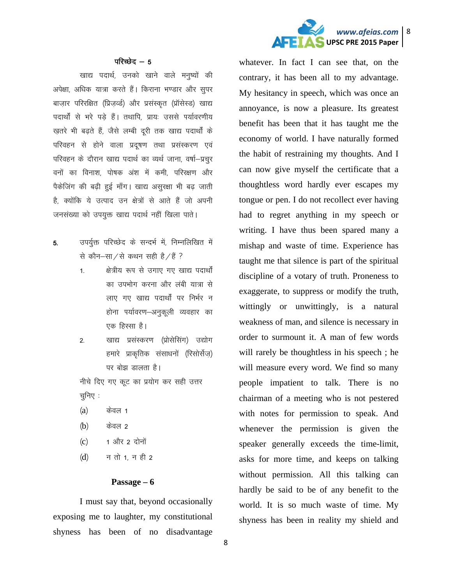

#### परिच्छेद $-5$

खाद्य पदार्थ, उनको खाने वाले मनुष्यों की अपेक्षा, अधिक यात्रा करते हैं। किराना भण्डार और सुपर बाजार परिरक्षित (प्रिज़र्व्ड) और प्रसंस्कृत (प्रॉसेस्ड) खाद्य पदार्थों से भरे पडे हैं। तथापि, प्रायः उससे पर्यावरणीय खतरे भी बढते हैं, जैसे लम्बी दूरी तक खाद्य पदार्थों के परिवहन से होने वाला प्रदूषण तथा प्रसंस्करण एवं परिवहन के दौरान खाद्य पदार्थ का व्यर्थ जाना, वर्षा-प्रचुर वनों का विनाश, पोषक अंश में कमी, परिरक्षण और पैकेजिंग की बढ़ी हुई माँग। खाद्य असूरक्षा भी बढ़ जाती है, क्योंकि ये उत्पाद उन क्षेत्रों से आते हैं जो अपनी जनसंख्या को उपयुक्त खाद्य पदार्थ नहीं खिला पाते।

- उपर्युक्त परिच्छेद के सन्दर्भ में, निम्नलिखित में 5. से कौन–सा⁄से कथन सही है/हैं ?
	- क्षेत्रीय रूप से उगाए गए खाद्य पदार्थों  $1.$ का उपभोग करना और लंबी यात्रा से लाए गए खाद्य पदार्थों पर निर्भर न होना पर्यावरण-अनुकूली व्यवहार का एक हिस्सा है।
	- $2.$ खाद्य प्रसंस्करण (प्रोसेसिंग) उद्योग हमारे प्राकृतिक संसाधनों (रिसोर्सेज) पर बोझ डालता है।

नीचे दिए गए कूट का प्रयोग कर सही उत्तर चनिए :

- केवल 1  $(a)$
- $(b)$ केवल 2
- $(c)$ 1 और 2 दोनों
- न तो 1, न ही 2  $(d)$

#### Passage  $-6$

I must say that, beyond occasionally exposing me to laughter, my constitutional shyness has been of no disadvantage

whatever. In fact I can see that, on the contrary, it has been all to my advantage. My hesitancy in speech, which was once an annoyance, is now a pleasure. Its greatest benefit has been that it has taught me the economy of world. I have naturally formed the habit of restraining my thoughts. And I can now give myself the certificate that a thoughtless word hardly ever escapes my tongue or pen. I do not recollect ever having had to regret anything in my speech or writing. I have thus been spared many a mishap and waste of time. Experience has taught me that silence is part of the spiritual discipline of a votary of truth. Proneness to exaggerate, to suppress or modify the truth, wittingly or unwittingly, is a natural weakness of man, and silence is necessary in order to surmount it. A man of few words will rarely be thoughtless in his speech; he will measure every word. We find so many people impatient to talk. There is no chairman of a meeting who is not pestered with notes for permission to speak. And whenever the permission is given the speaker generally exceeds the time-limit, asks for more time, and keeps on talking without permission. All this talking can hardly be said to be of any benefit to the world. It is so much waste of time. My shyness has been in reality my shield and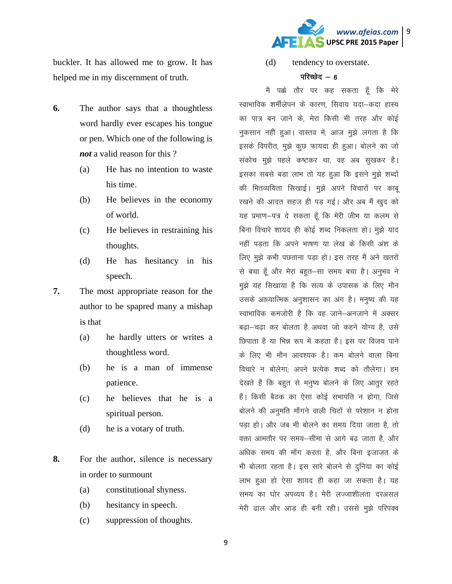

buckler. It has allowed me to grow. It has helped me in my discernment of truth.

- 6. The author says that a thoughtless word hardly ever escapes his tongue or pen. Which one of the following is *not* a valid reason for this?
	- He has no intention to waste  $(a)$ his time.
	- $(b)$ He believes in the economy of world.
	- $(c)$ He believes in restraining his thoughts.
	- $(d)$ He has hesitancy in his speech.
- 7. The most appropriate reason for the author to be spapred many a mishap is that
	- $(a)$ he hardly utters or writes a thoughtless word.
	- $(b)$ he is a man of immense patience.
	- he believes that he is a  $(c)$ spiritual person.
	- $(d)$ he is a votary of truth.
- 8. For the author, silence is necessary in order to surmount
	- $(a)$ constitutional shyness.
	- $(b)$ hesitancy in speech.
	- $(c)$ suppression of thoughts.

tendency to overstate.  $(d)$ 

# परिच्छेद $-6$

मै पक्के तौर पर कह सकता हूँ कि मेरे स्वाभाविक शर्मीलेपन के कारण, सिवाय यदा–कदा हास्य का पात्र बन जाने के, मेरा किसी भी तरह और कोई नुकसान नहीं हुआ। वास्तव में, आज मुझे लगता है कि इसके विपरीत, मुझे कुछ फायदा ही हुआ। बोलने का जो संकोच मुझे पहले कष्टकर था, वह अब सुखकर है। इसका सबसे बड़ा लाभ तो यह हुआ कि इसने मुझे शब्दों की मितव्ययिता सिखाई। मुझे अपने विचारों पर काबू रखने की आदत सहज ही पड़ गई। और अब मैं खुद को यह प्रमाण–पत्र दे सकता हैं कि मेरी जीभ या कलम से बिना विचारे शायद ही कोई शब्द निकलता हो। मुझे याद नहीं पड़ता कि अपने भाषण या लेख के किसी अंश के लिए मुझे कभी पछताना पड़ा हो। इस तरह मैं अने खतरों से बचा हूँ और मेरा बहुत–सा समय बचा है। अनुभव ने मुझे यह सिखाया है कि सत्य के उपासक के लिए मौन उसके आध्यात्मिक अनुशासन का अंग है। मनुष्य की यह स्वाभाविक कमजोरी है कि वह जाने–अनजाने में अक्सर बढ़ा-चढ़ा कर बोलता है अथवा जो कहने योग्य है, उसे छिपाता है या भिन्न रूप में कहता है। इस पर विजय पाने के लिए भी मौन आवश्यक है। कम बोलने वाला बिना विचारे न बोलेगा; अपने प्रत्येक शब्द को तौलेगा। हम देखते हैं कि बहुत से मनुष्य बोलने के लिए आतुर रहते हैं। किसी बैठक का ऐसा कोई सभापति न होगा, जिसे बोलने की अनुमति माँगने वाली चिटों से परेशान न होना पड़ा हो। और जब भी बोलने का समय दिया जाता है, तो वक्ता आमतौर पर समय-सीमा से आगे बढ जाता है, और अधिक समय की माँग करता है, और बिना इजाज़त के भी बोलता रहता है। इस सारे बोलने से दुनिया का कोई लाभ हुआ हो ऐसा शायद ही कहा जा सकता है। यह समय का घोर अपव्यय है। मेरी लज्जाशीलता दरअसल मेरी ढाल और आड़ ही बनी रही। उससे मुझे परिपक्व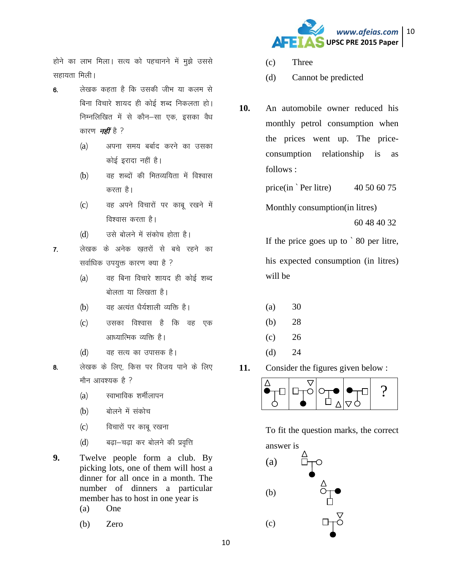

होने का लाभ मिला। सत्य को पहचानने में मुझे उससे सहायता मिली।

- 6. लेखक कहता है कि उसकी जीभ या कलम से बिना विचारे शायद ही कोई शब्द निकलता हो। निम्नलिखित में से कौन–सा एक, इसका वैध कारण *नहीं* है ?
	- $(a)$  अपना समय बर्बाद करने का उसका कोई इरादा नहीं है।
	- (b) वह शब्दों की मितव्ययिता में विश्वास करता है।
	- (c) वह अपने विचारों पर काबू रखने में विश्वास करता है।
	- (d) उसे बोलने में संकोच होता है।
- 7. लेखक के अनेक खतरों से बचे रहने का सर्वाधिक उपयुक्त कारण क्या है ?
	- $(a)$  वह बिना विचारे शायद ही कोई शब्द बोलता या लिखता है।
	- (b) वह अत्यंत धैर्यशाली व्यक्ति है।
	- (c) जसका विश्वास है कि वह एक आध्यात्मिक व्यक्ति है।
	- (d) वह सत्य का उपासक है।
- 8. व्यालेखक के लिए, किस पर विजय पाने के लिए मौन आवश्यक $\hat{g}$  ?
	- (a) स्वाभाविक शर्मीलापन
	- (b) बोलने में संकोच
	- (c) विचारों पर काबू रखना
	- $(d)$  aढा-चढा कर बोलने की प्रवृत्ति
- **9.** Twelve people form a club. By picking lots, one of them will host a dinner for all once in a month. The number of dinners a particular member has to host in one year is (a) One
	- (b) Zero
- (c) Three
- (d) Cannot be predicted
- **10.** An automobile owner reduced his monthly petrol consumption when the prices went up. The priceconsumption relationship is as follows :

price(in `Per litre) 40 50 60 75

Monthly consumption(in litres)

60 48 40 32

If the price goes up to ` 80 per litre,

his expected consumption (in litres) will be

- $(a) 30$
- (b) 28
- $(c)$  26
- $(d)$  24
- **11.** Consider the figures given below :



To fit the question marks, the correct

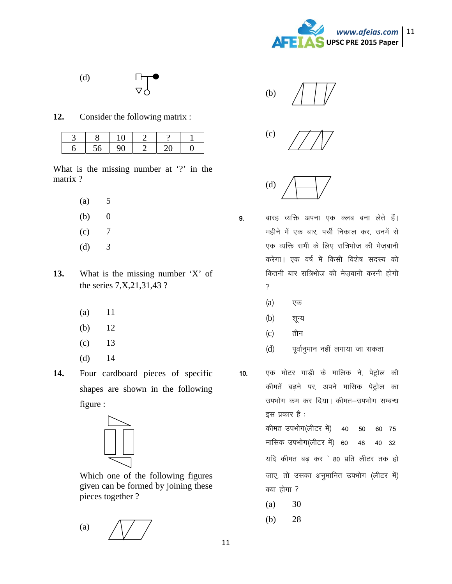



**12.** Consider the following matrix :

| 56 | nη |  |  |
|----|----|--|--|

What is the missing number at '?' in the matrix ?

- $(a) 5$
- $(b)$  0
- $\overline{c}$  7
- (d) 3
- **13.** What is the missing number 'X' of the series 7,X,21,31,43 ?
	- (a) 11
	- (b) 12
	- $(c)$  13
	- (d) 14
- **14.** Four cardboard pieces of specific shapes are shown in the following figure :



Which one of the following figures given can be formed by joining these pieces together ?

(a)







9. वारह व्यक्ति अपना एक क्लब बना लेते हैं। महीने में एक बार, पर्ची निकाल कर, उनमें से एक व्यक्ति सभी के लिए रात्रिभोज की मेजबानी करेगा। एक वर्ष में किसी विशेष सदस्य को कितनी बार रात्रिभोज की मेजबानी करनी होगी  $\tilde{?}$ 

- $(a)$  एक
- (b) शून्य
- $(c)$  तीन
- (d) पर्वानमान नहीं लगाया जा सकता
- 10. पक मोटर गाडी के मालिक ने, पेट्रोल की कीमतें बढने पर, अपने मासिक पेट्रोल का उपभोग कम कर दिया। कीमत–उपभोग सम्बन्ध इस प्रकार है : कीमत उपभोग(लीटर में) 40 50 60 75 मासिक उपभोग(लीटर में) 60 48 40 32 यदि कीमत बढ़ कर ` 80 प्रति लीटर तक हो जाए, तो उसका अनुमानित उपभोग (लीटर में) क्या होगा $?$ 
	- $(a) 30$
	- (b) 28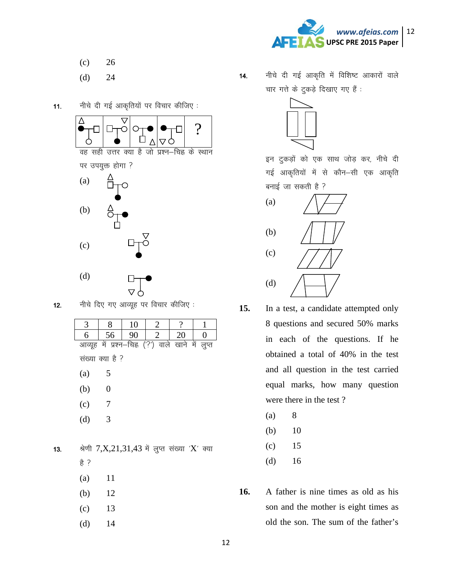

(c) 26

(d) 24

11.  $\frac{1}{2}$ नीचे दी गई आकृतियों पर विचार कीजिए:





|     | 3       | 8                | 10 | $\overline{c}$                                   | ?  | $\mathbf{1}$     |
|-----|---------|------------------|----|--------------------------------------------------|----|------------------|
|     | 6       | 56               | 90 | $\overline{2}$                                   | 20 | $\boldsymbol{0}$ |
|     |         |                  |    | आव्यूह में प्रश्न-चिह्न (?') वाले खाने में लुप्त |    |                  |
|     |         | संख्या क्या है ? |    |                                                  |    |                  |
|     | (a)     | $\overline{5}$   |    |                                                  |    |                  |
|     | $(b)$ 0 |                  |    |                                                  |    |                  |
|     | $(c)$ 7 |                  |    |                                                  |    |                  |
|     | (d)     | 3                |    |                                                  |    |                  |
|     |         |                  |    |                                                  |    |                  |
| 13. |         |                  |    | श्रेणी 7,X,21,31,43 में लुप्त संख्या 'X' क्या    |    |                  |
|     | 송 ?     |                  |    |                                                  |    |                  |
|     | (a)     | 11               |    |                                                  |    |                  |
|     | (b)     | 12               |    |                                                  |    |                  |
|     | (c)     | 13               |    |                                                  |    |                  |
|     |         |                  |    |                                                  |    |                  |

(d) 14

14. नीचे दी गई आकृति में विशिष्ट आकारों वाले चार गत्ते के दूकड़े दिखाए गए हैं :



इन टुकड़ों को एक साथ जोड कर, नीचे दी गई आकृतियों में से कौन–सी एक आकृति बनाई जा सकती है ?



- **15.** In a test, a candidate attempted only 8 questions and secured 50% marks in each of the questions. If he obtained a total of 40% in the test and all question in the test carried equal marks, how many question were there in the test ?
	- $(a)$  8
	- (b)  $10$
	- $(c)$  15
	- (d) 16
- **16.** A father is nine times as old as his son and the mother is eight times as old the son. The sum of the father's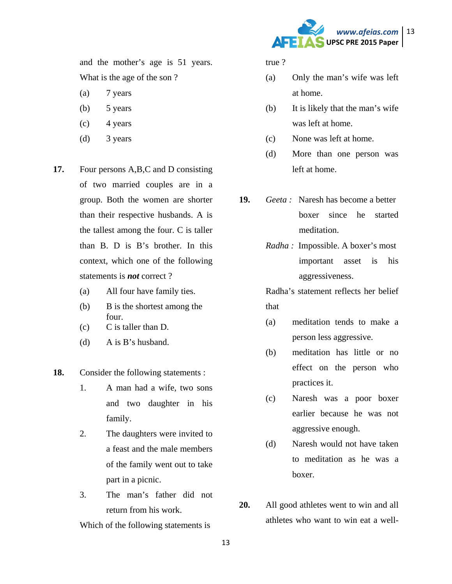

and the mother's age is 51 years. What is the age of the son ?

- (a) 7 years
- (b) 5 years
- $(c)$  4 years
- (d) 3 years
- **17.** Four persons A,B,C and D consisting of two married couples are in a group. Both the women are shorter than their respective husbands. A is the tallest among the four. C is taller than B. D is B's brother. In this context, which one of the following statements is *not* correct ?
	- (a) All four have family ties.
	- (b) B is the shortest among the four.
	- (c) C is taller than D.
	- (d) A is B's husband.
- **18.** Consider the following statements :
	- 1. A man had a wife, two sons and two daughter in his family.
	- 2. The daughters were invited to a feast and the male members of the family went out to take part in a picnic.
	- 3. The man's father did not return from his work.

Which of the following statements is

true ?

- (a) Only the man's wife was left at home.
- (b) It is likely that the man's wife was left at home.
- (c) None was left at home.
- (d) More than one person was left at home.
- **19.** *Geeta :* Naresh has become a better boxer since he started meditation.
	- *Radha :* Impossible. A boxer's most important asset is his aggressiveness.

Radha's statement reflects her belief that

- (a) meditation tends to make a person less aggressive.
- (b) meditation has little or no effect on the person who practices it.
- (c) Naresh was a poor boxer earlier because he was not aggressive enough.
- (d) Naresh would not have taken to meditation as he was a boxer.
- **20.** All good athletes went to win and all athletes who want to win eat a well-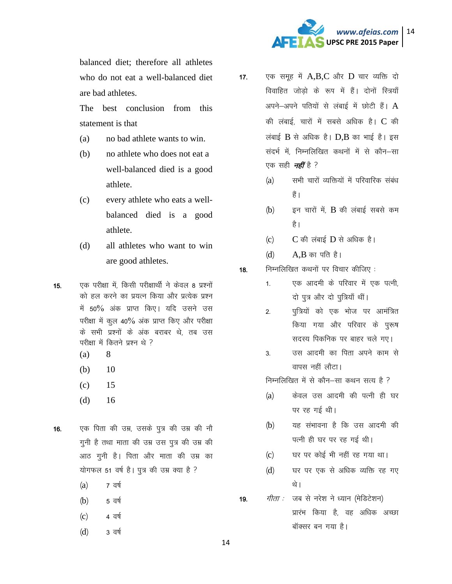

balanced diet; therefore all athletes who do not eat a well-balanced diet are bad athletes.

The best conclusion from this statement is that

- (a) no bad athlete wants to win.
- (b) no athlete who does not eat a well-balanced died is a good athlete.
- (c) every athlete who eats a wellbalanced died is a good athlete.
- (d) all athletes who want to win are good athletes.
- 15. पिंक परीक्षा में, किसी परीक्षार्थी ने केवल 8 प्रश्नों को हल करने का प्रयत्न किया और प्रत्येक प्रश्न में 50% अंक प्राप्त किए। यदि उसने उस परीक्षा में कुल 40% अंक प्राप्त किए और परीक्षा के सभी प्रश्नों के अंक बराबर थे, तब उस परीक्षा में कितने प्रश्न थे  $\overline{ }$ 
	- $(a)$  8
	- $(b)$  10
	- $(c)$  15
	- $(d)$  16
- 16. एक पिता की उम्र, उसके पुत्र की उम्र की नौ गुनी है तथा माता की उम्र उस पुत्र की उम्र की आठ गूनी है। पिता और माता की उम्र का योगफल 51 वर्ष है। पुत्र की उम्र क्या है ?
	- $(a)$  7 वर्ष
	- $(b)$  5  $\overline{a}$
	- $(c)$  4  $\overline{q}$
	- (d) 3 वर्ष
- 17. पक समूह में  $A, B, C$  और  $D$  चार व्यक्ति दो विवाहित जोड़ो के रूप में हैं। दोनों स्त्रियाँ अपने-अपने पतियों से लंबाई में छोटी हैं।  $\rm A$ की लंबाई, चारों में सबसे अधिक है।  $C$  की लंबाई  $B$  से अधिक है।  $D$ , $B$  का भाई है। इस संदर्भ में निम्नलिखित कथनों में से कौन–सा एक सही *नहीं* है ?
	- $(a)$  सभी चारों व्यक्तियों में परिवारिक संबंध हैं।
	- $(b)$  = इन चारों में,  $B$  की लंबाई सबसे कम a<br>है ।
	- (c)  $\bf{C}$  की लंबाई  $\bf{D}$  से अधिक है।
	- (d)  $A.B$  का पति है।
- $18.$  निम्नलिखित कथनों पर विचार कीजिए:
	- 1. पक आदमी के परिवार में एक पत्नी. दो पत्र और दो पत्रियाँ थीं।
	- 2. पत्रियों को एक भोज पर आमंत्रित किया गया और परिवार के पुरूष सदस्य पिकनिक पर बाहर चले गए।
	- 3. व्या आदमी का पिता अपने काम से वापस नहीं लौटा।

निम्नलिखित में से कौन–सा कथन सत्य है ?

- $(a)$  केवल उस आदमी की पत्नी ही घर पर रह गई थी।
- (b) यह संभावना है कि उस आदमी की पत्नी ही घर पर रह गई थी।
- (c) यर पर कोई भी नहीं रह गया था।
- (d) यार पर एक से अधिक व्यक्ति रह गए थे ।
- 19.  $\eta$ *ता* : जब से नरेश ने ध्यान (मेडिटेशन) प्रारंभ किया है. वह अधिक अच्छा बॉक्सर बन गया है।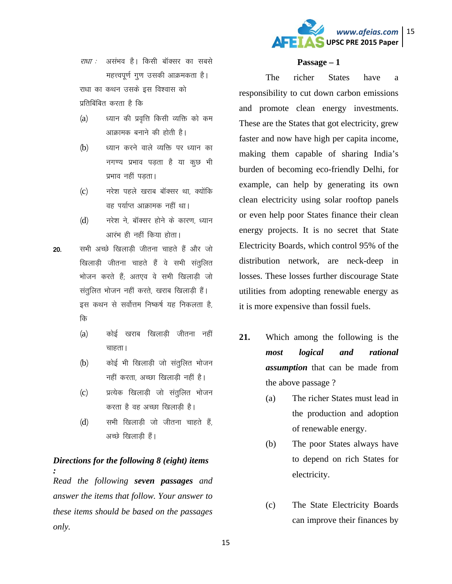

# Passage  $-1$

असंभव है। किसी बॉक्सर का सबसे राधा : महत्त्वपूर्ण गूण उसकी आक्रमकता है। राधा का कथन उसके इस विश्वास को प्रतिबिंबित करता है कि

- ध्यान की प्रवृत्ति किसी व्यक्ति को कम  $(a)$ आक्रामक बनाने की होती है।
- ध्यान करने वाले व्यक्ति पर ध्यान का  $(b)$ नगण्य प्रभाव पड़ता है या कुछ भी प्रभाव नहीं पडता।
- $(c)$ नरेश पहले खराब बॉक्सर था, क्योंकि वह पर्याप्त आक्रामक नहीं था।
- नरेश ने, बॉक्सर होने के कारण, ध्यान  $(d)$ आरंभ ही नहीं किया होता।

सभी अच्छे खिलाडी जीतना चाहते हैं और जो 20. खिलाडी जीतना चाहते हैं वे सभी संतुलित भोजन करते हैं; अतएव वे सभी खिलाड़ी जो संतुलित भोजन नहीं करते, खराब खिलाड़ी हैं। इस कथन से सर्वोत्तम निष्कर्ष यह निकलता है, कि

- कोई खराब खिलाडी जीतना नहीं  $(a)$ चाहता ।
- कोई भी खिलाड़ी जो संतुलित भोजन  $(b)$ नहीं करता, अच्छा खिलाड़ी नहीं है।
- $(c)$ प्रत्येक खिलाडी जो संतुलित भोजन करता है वह अच्छा खिलाड़ी है।
- सभी खिलाडी जो जीतना चाहते हैं,  $(d)$ अच्छे खिलाडी हैं।

### Directions for the following 8 (eight) items

Read the following seven passages and answer the items that follow. Your answer to these items should be based on the passages only.

The richer **States** have a responsibility to cut down carbon emissions and promote clean energy investments. These are the States that got electricity, grew faster and now have high per capita income, making them capable of sharing India's burden of becoming eco-friendly Delhi, for example, can help by generating its own clean electricity using solar rooftop panels or even help poor States finance their clean energy projects. It is no secret that State Electricity Boards, which control 95% of the distribution network, are neck-deep in losses. These losses further discourage State utilities from adopting renewable energy as it is more expensive than fossil fuels.

- 21. Which among the following is the logical most and rational *assumption* that can be made from the above passage?
	- $(a)$ The richer States must lead in the production and adoption of renewable energy.
	- The poor States always have  $(b)$ to depend on rich States for electricity.
	- The State Electricity Boards  $(c)$ can improve their finances by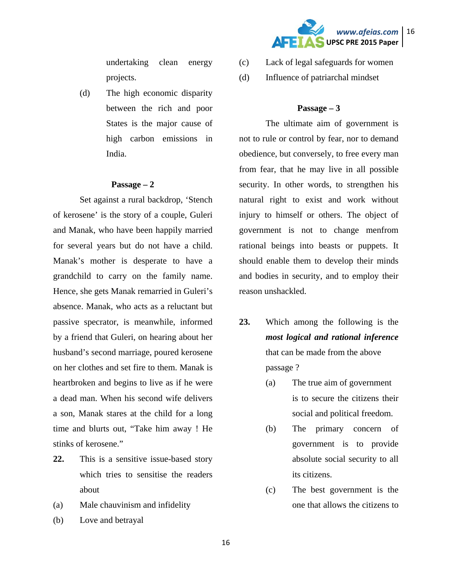

undertaking clean energy projects.

(d) The high economic disparity between the rich and poor States is the major cause of high carbon emissions in India.

#### **Passage – 2**

Set against a rural backdrop, 'Stench of kerosene' is the story of a couple, Guleri and Manak, who have been happily married for several years but do not have a child. Manak's mother is desperate to have a grandchild to carry on the family name. Hence, she gets Manak remarried in Guleri's absence. Manak, who acts as a reluctant but passive specrator, is meanwhile, informed by a friend that Guleri, on hearing about her husband's second marriage, poured kerosene on her clothes and set fire to them. Manak is heartbroken and begins to live as if he were a dead man. When his second wife delivers a son, Manak stares at the child for a long time and blurts out, "Take him away ! He stinks of kerosene."

- **22.** This is a sensitive issue-based story which tries to sensitise the readers about
- (a) Male chauvinism and infidelity
- (b) Love and betrayal
- (c) Lack of legal safeguards for women
- (d) Influence of patriarchal mindset

#### **Passage – 3**

The ultimate aim of government is not to rule or control by fear, nor to demand obedience, but conversely, to free every man from fear, that he may live in all possible security. In other words, to strengthen his natural right to exist and work without injury to himself or others. The object of government is not to change menfrom rational beings into beasts or puppets. It should enable them to develop their minds and bodies in security, and to employ their reason unshackled.

- **23.** Which among the following is the *most logical and rational inference*  that can be made from the above passage ?
	- (a) The true aim of government is to secure the citizens their social and political freedom.
	- (b) The primary concern of government is to provide absolute social security to all its citizens.
	- (c) The best government is the one that allows the citizens to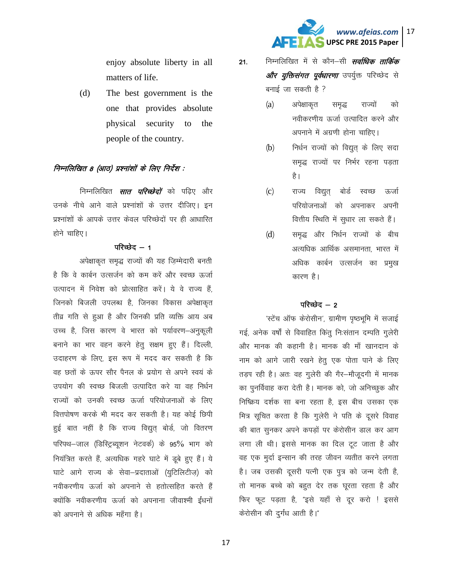# www.afeias.com 17 UPSC PRE 2015 Paper

enjoy absolute liberty in all matters of life.

 $(d)$ The best government is the one that provides absolute physical security to the people of the country.

# निम्नलिखित 8 (आठ) प्रश्नांशों के लिए निर्देश :

निम्नलिखित *सात <i>परिच्छेदों* को पढिए और उनके नीचे आने वाले प्रश्नांशों के उत्तर दीजिए। इन प्रश्नांशों के आपके उत्तर केवल परिच्छेदों पर ही आधारित होने चाहिए।

#### परिच्छेद $-1$

अपेक्षाकृत समृद्ध राज्यों की यह जिम्मेदारी बनती है कि वे कार्बन उत्सर्जन को कम करें और स्वच्छ ऊर्जा उत्पादन में निवेश को प्रोत्साहित करें। ये वे राज्य हैं, जिनको बिजली उपलब्ध है, जिनका विकास अपेक्षाकृत तीव्र गति से हुआ है और जिनकी प्रति व्यक्ति आय अब उच्च है, जिस कारण वे भारत को पर्यावरण-अनुकूली बनाने का भार वहन करने हेतु सक्षम हुए हैं। दिल्ली, उदाहरण के लिए. इस रूप में मदद कर सकती है कि वह छतों के ऊपर सौर पैनल के प्रयोग से अपने स्वयं के उपयोग की स्वच्छ बिजली उत्पादित करे या वह निर्धन राज्यों को उनकी स्वच्छ ऊर्जा परियोजनाओं के लिए वित्तपोषण करके भी मदद कर सकती है। यह कोई छिपी हुई बात नहीं है कि राज्य विद्युत् बोर्ड, जो वितरण परिपथ–जाल (डिस्ट्रिब्यूशन नेटवर्क) के 95% भाग को नियंत्रित करते हैं, अत्यधिक गहरे घाटे में डूबे हुए हैं। ये घाटे आगे राज्य के सेवा-प्रदाताओं (युटिलिटीज) को नवीकरणीय ऊर्जा को अपनाने से हतोत्सहित करते हैं क्योंकि नवीकरणीय ऊर्जा को अपनाना जीवाश्मी ईंधनों को अपनाने से अधिक महँगा है।

निम्नलिखित में से कौन–सी *सर्वाधिक तार्किक*  $21.$ *और युक्तिसंगत पूर्वधारणा* उपर्युक्त परिच्छेद से बनाई जा सकती है ?

- $(a)$ अपेक्षाकृत समृद्ध राज्यो को नवीकरणीय ऊर्जा उत्पादित करने और अपनाने में अग्रणी होना चाहिए।
- निर्धन राज्यों को विद्युत् के लिए सदा  $(b)$ समृद्ध राज्यों पर निर्भर रहना पड़ता है ।
- राज्य विद्युत् बोर्ड स्वच्छ  $(c)$ ऊर्जा परियोजनाओं को अपनाकर अपनी वित्तीय स्थिति में सुधार ला सकते हैं।
- समृद्ध और निर्धन राज्यों के बीच  $(d)$ अत्यधिक आर्थिक असमानता. भारत में अधिक कार्बन उत्सर्जन का प्रमुख कारण है।

#### परिच्छेद $-2$

'स्टेंच ऑफ केरोसीन', ग्रामीण पृष्ठभूमि में सजाई गई, अनेक वर्षों से विवाहित किंतु निःसंतान दम्पति गुलेरी और मानक की कहानी है। मानक की माँ खानदान के नाम को आगे जारी रखने हेतू एक पोता पाने के लिए तड़प रही है। अतः वह गुलेरी की गैर–मौजूदगी में मानक का पुनर्विवाह करा देती है। मानक को, जो अनिच्छुक और निष्क्रिय दर्शक सा बना रहता है, इस बीच उसका एक मित्र सूचित करता है कि गुलेरी ने पति के दूसरे विवाह की बात सुनकर अपने कपड़ों पर केरोसीन डाल कर आग लगा ली थी। इससे मानक का दिल टूट जाता है और वह एक मुर्दा इन्सान की तरह जीवन व्यतीत करने लगता है। जब उसकी दूसरी पत्नी एक पुत्र को जन्म देती है, तो मानक बच्चे को बहुत देर तक घूरता रहता है और फिर फूट पड़ता है, "इसे यहाँ से दूर करो ! इससे केरोसीन की दुर्गंध आती है।"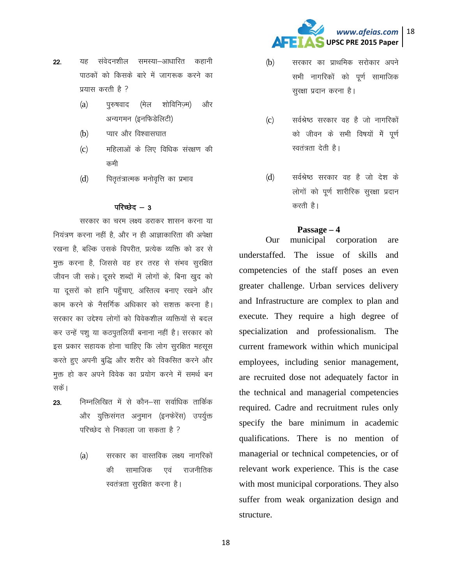

- सरकार का प्राथमिक सरोकार अपने  $(b)$ सभी नागरिकों को पूर्ण सामाजिक सुरक्षा प्रदान करना है।
	- सर्वश्रेष्ठ सरकार वह है जो नागरिकों  $(c)$ को जीवन के सभी विषयों में पूर्ण स्वतंत्रता देती है।
	- सर्वश्रेष्ठ सरकार वह है जो देश के  $(d)$ लोगों को पूर्ण शारीरिक सुरक्षा प्रदान करती है।

#### Passage  $-4$

municipal corporation Our are understaffed. The issue of skills and competencies of the staff poses an even greater challenge. Urban services delivery and Infrastructure are complex to plan and execute. They require a high degree of specialization and professionalism. The current framework within which municipal employees, including senior management, are recruited dose not adequately factor in the technical and managerial competencies required. Cadre and recruitment rules only specify the bare minimum in academic qualifications. There is no mention of managerial or technical competencies, or of relevant work experience. This is the case with most municipal corporations. They also suffer from weak organization design and structure.

- शोविनिज्म)  $(a)$ पुरुषवाद (मेल और अन्यगमन (इनफिडेलिटी)
- प्यार और विश्वासघात  $(b)$
- महिलाओं के लिए विधिक संरक्षण की  $(c)$ कमी
- $(d)$ पितृतंत्रात्मक मनोवृत्ति का प्रभाव

#### परिच्छेद $-3$

सरकार का चरम लक्ष्य डराकर शासन करना या

नियंत्रण करना नहीं है. और न ही आज्ञाकारिता की अपेक्षा रखना है, बल्कि उसके विपरीत, प्रत्येक व्यक्ति को डर से मुक्त करना है, जिससे वह हर तरह से संभव सुरक्षित जीवन जी सके। दूसरे शब्दों में लोगों के, बिना खुद को या दूसरों को हानि पहुँचाए, अस्तित्व बनाए रखने और काम करने के नैसर्गिक अधिकार को सशक्त करना है। सरकार का उद्देश्य लोगों को विवेकशील व्यक्तियों से बदल कर उन्हें पशु या कठपुतलियाँ बनाना नहीं है। सरकार को इस प्रकार सहायक होना चाहिए कि लोग सुरक्षित महसुस करते हुए अपनी बुद्धि और शरीर को विकसित करने और मुक्त हो कर अपने विवेक का प्रयोग करने में समर्थ बन सकें।

- निम्नलिखित में से कौन–सा सर्वाधिक तार्किक 23. और युक्तिसंगत अनुमान (इनफेरेस) उपर्युक्त परिच्छेद से निकाला जा सकता है ?
	- सरकार का वास्तविक लक्ष्य नागरिकों  $(a)$ की सामाजिक एवं राजनीतिक स्वतंत्रता सुरक्षित करना है।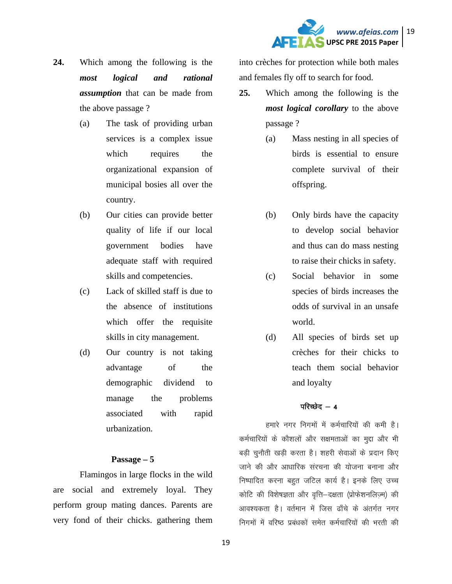

- **24.** Which among the following is the *most logical and rational assumption* that can be made from the above passage ?
	- (a) The task of providing urban services is a complex issue which requires the organizational expansion of municipal bosies all over the country.
	- (b) Our cities can provide better quality of life if our local government bodies have adequate staff with required skills and competencies.
	- (c) Lack of skilled staff is due to the absence of institutions which offer the requisite skills in city management.
	- (d) Our country is not taking advantage of the demographic dividend to manage the problems associated with rapid urbanization.

#### **Passage – 5**

Flamingos in large flocks in the wild are social and extremely loyal. They perform group mating dances. Parents are very fond of their chicks. gathering them

into crèches for protection while both males and females fly off to search for food.

- **25.** Which among the following is the *most logical corollary* to the above passage ?
	- (a) Mass nesting in all species of birds is essential to ensure complete survival of their offspring.
	- (b) Only birds have the capacity to develop social behavior and thus can do mass nesting to raise their chicks in safety.
	- (c) Social behavior in some species of birds increases the odds of survival in an unsafe world.
	- (d) All species of birds set up crèches for their chicks to teach them social behavior and loyalty

# परिच्छेद $-4$

हमारे नगर निगमों में कर्मचारियों की कमी है। कर्मचारियों के कौशलों और सक्षमताओं का मुद्दा और भी बड़ी चुनौती खड़ी करता है। शहरी सेवाओं के प्रदान किए जाने की और आधारिक संरचना की योजना बनाना और निष्पादित करना बहुत जटिल कार्य है। इनके लिए उच्च कोटि की विशेषज्ञता और वृत्ति–दक्षता (प्रोफेशनलिज्म) की आवश्यकता है। वर्तमान में जिस ढाँचे के अंतर्गत नगर निगमों में वरिष्ठ प्रबंधकों समेत कर्मचारियों की भरती की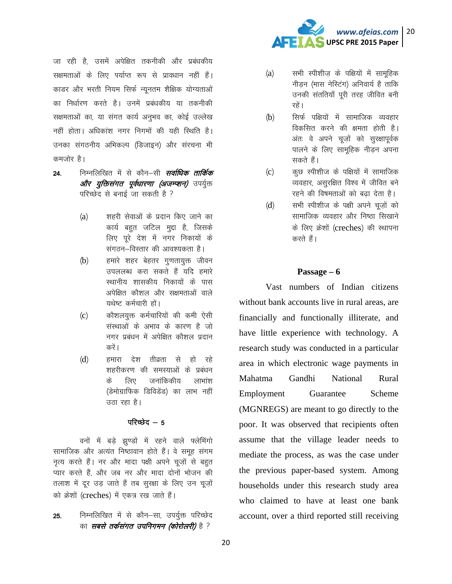

जा रही है, उसमें अपेक्षित तकनीकी और प्रबंधकीय सक्षमताओं के लिए पर्याप्त रूप से प्रावधान नहीं हैं। काडर और भरती नियम सिर्फ न्यूनतम शैक्षिक योग्यताओं का निर्धारण करते है। उनमें प्रबंधकीय या तकनीकी सक्षमताओं का, या संगत कार्य अनुभव का, कोई उल्लेख नहीं होता। अधिकांश नगर निगमों की यही स्थिति है। उनका संगठनीय अभिकल्प (डिजाइन) और संरचना भी कमजोर है।

- निम्नलिखित में से कौन–सी *सर्वाधिक तार्किक* 24. और युक्तिसंगत पूर्वधारणा (अजम्प्शन) उपर्युक्त परिच्छेद से बनाई जा सकती है ?
	- शहरी सेवाओं के प्रदान किए जाने का  $(a)$ कार्य बहुत जटिल मुद्दा है, जिसके लिए पूरे देश में नगर निकायों के संगठन–विस्तार की आवश्यकता है।
	- $(b)$ हमारे शहर बेहतर गुणतायुक्त जीवन उपललब्ध करा सकते हैं यदि हमारे स्थानीय शासकीय निकायों के पास अपेक्षित कौशल और सक्षमताओं वाले यथेष्ट कर्मचारी हों।
	- $(c)$ कौशलयुक्त कर्मचारियों की कमी ऐसी संस्थाओं के अभाव के कारण है जो नगर प्रबंधन में अपेक्षित कौशल प्रदान करें ।
	- $(d)$ हमारा देश तीव्रता से हो रहे शहरीकरण की समस्याओं के प्रबंधन के लिए जनांकिकीय लाभांश (डेमोग्राफिक डिविडेंड) का लाभ नहीं उठा रहा है।

#### परिच्छेद $-5$

वनों में बड़े झुण्डों में रहने वाले फ्लेमिंगो सामाजिक और अत्यंत निष्ठावान होते हैं। वे समुह संगम नृत्य करते हैं। नर और मादा पक्षी अपने चूज़ों से बहुत प्यार करते हैं, और जब नर और मादा दोनों भोजन की तलाश में दूर उड़ जाते हैं तब सुरक्षा के लिए उन चूज़ों को क्रेशों (creches) में एकत्र रख जाते हैं।

निम्नलिखित में से कौन–सा, उपर्युक्त परिच्छेद 25. का *सबसे तर्कसंगत उपनिगमन (कोरोलरी)* **है** ?

- सभी स्पीशीज के पक्षियों में सामूहिक  $(a)$ नीड़न (मास नेस्टिंग) अनिवार्य है ताकि उनकी संततियाँ पुरी तरह जीवित बनी रहें ।
- $(b)$ सिर्फ पक्षियों में सामाजिक व्यवहार विकसित करने की क्षमता होती है। अंतः वे अपने चूजों को सुरक्षापूर्वक पालने के लिए सामूहिक नीड़न अपना सकते हैं।
- कूछ स्पीशीज के पक्षियों में सामाजिक  $(c)$ व्यवहार, असूरक्षित विश्व में जीवित बने रहने की विषमताओं को बढा देता है।
- सभी स्पीशीज के पक्षी अपने चूजों को  $(d)$ सामाजिक व्यवहार और निष्ठा सिखाने के लिए क्रेशों (creches) की स्थापना करते हैं।

#### Passage  $-6$

Vast numbers of Indian citizens without bank accounts live in rural areas, are financially and functionally illiterate, and have little experience with technology. A research study was conducted in a particular area in which electronic wage payments in Gandhi **National** Mahatma Rural Employment Guarantee **Scheme** (MGNREGS) are meant to go directly to the poor. It was observed that recipients often assume that the village leader needs to mediate the process, as was the case under the previous paper-based system. Among households under this research study area who claimed to have at least one bank account, over a third reported still receiving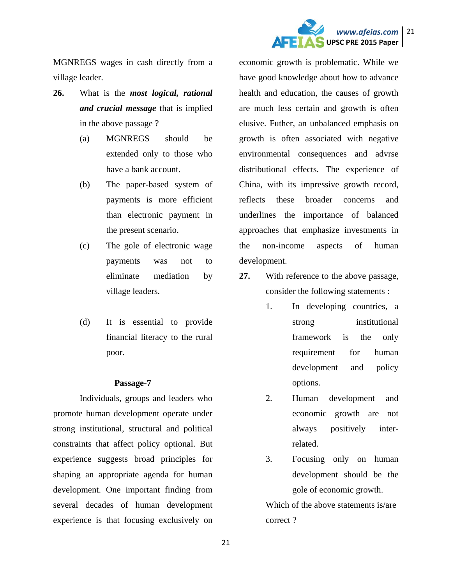

MGNREGS wages in cash directly from a village leader.

- **26.** What is the *most logical, rational and crucial message* that is implied in the above passage ?
	- (a) MGNREGS should be extended only to those who have a bank account.
	- (b) The paper-based system of payments is more efficient than electronic payment in the present scenario.
	- (c) The gole of electronic wage payments was not to eliminate mediation by village leaders.
	- (d) It is essential to provide financial literacy to the rural poor.

#### **Passage-7**

Individuals, groups and leaders who promote human development operate under strong institutional, structural and political constraints that affect policy optional. But experience suggests broad principles for shaping an appropriate agenda for human development. One important finding from several decades of human development experience is that focusing exclusively on

economic growth is problematic. While we have good knowledge about how to advance health and education, the causes of growth are much less certain and growth is often elusive. Futher, an unbalanced emphasis on growth is often associated with negative environmental consequences and advrse distributional effects. The experience of China, with its impressive growth record, reflects these broader concerns and underlines the importance of balanced approaches that emphasize investments in the non-income aspects of human development.

- **27.** With reference to the above passage, consider the following statements :
	- 1. In developing countries, a strong institutional framework is the only requirement for human development and policy options.
	- 2. Human development and economic growth are not always positively interrelated.
	- 3. Focusing only on human development should be the gole of economic growth.

Which of the above statements is/are correct ?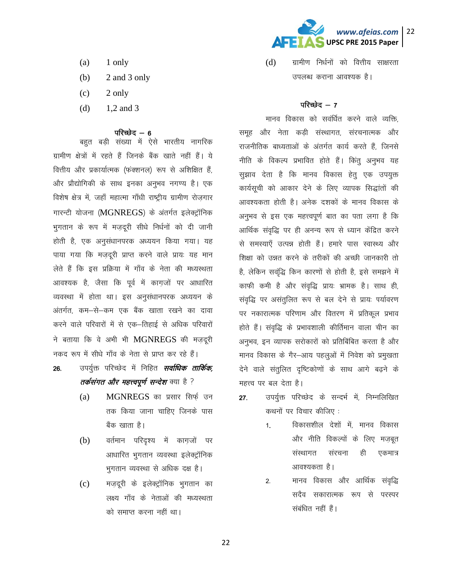

 $(d)$ ग्रामीण निर्धनों को वित्तीय साक्षरता उपलब्ध कराना आवश्यक है।

#### परिच्छेद $-7$

मानव विकास को सर्वर्धित करने वाले व्यक्ति, समूह और नेता कडी संस्थागत, संरचनात्मक और राजनीतिक बाध्यताओं के अंतर्गत कार्य करते हैं, जिनसे नीति के विकल्प प्रभावित होते हैं। किंतु अनुभव यह सूझाव देता है कि मानव विकास हेतू एक उपयुक्त कार्यसूची को आकार देने के लिए व्यापक सिद्धांतों की आवश्यकता होती है। अनेक दशकों के मानव विकास के अनुभव से इस एक महत्त्वपूर्ण बात का पता लगा है कि आर्थिक संवृद्धि पर ही अनन्य रूप से ध्यान केंद्रित करने से समस्याएँ उत्पन्न होती हैं। हमारे पास स्वास्थ्य और शिक्षा को उन्नत करने के तरीकों की अच्छी जानकारी तो है, लेकिन सवृद्धि किन कारणों से होती है, इसे समझने में काफी कमी है और संवृद्धि प्रायः भ्रामक है। साथ ही, सवृद्धि पर असतुलित रूप से बल देने से प्रायः पर्यावरण पर नकारात्मक परिणाम और वितरण में प्रतिकूल प्रभाव होते हैं। संवृद्धि के प्रभावशाली कीर्तिमान वाला चीन का अनुभव, इन व्यापक सरोकारों को प्रतिबिंबित करता है और मानव विकास के गैर-आय पहलुओं में निवेश को प्रमुखता देने वाले संतुलित दृष्टिकोणों के साथ आगे बढ़ने के महत्त्व पर बल देता है।

- उपर्युक्त परिच्छेद के सन्दर्भ में, निम्नलिखित  $27.$ कथनों पर विचार कीजिए:
	- विकासशील देशों में, मानव विकास  $1.$ और नीति विकल्पों के लिए मजबूत संस्थागत संरचना ही एकमात्र आवश्यकता है।
	- मानव विकास और आर्थिक संवृद्धि  $2.$ सदैव सकारात्मक रूप से परस्पर संबंधित नहीं हैं।
- $(a)$ 1 only
- $(b)$ 2 and 3 only
- $(c)$ 2 only
- 1,2 and 3  $(d)$

#### परिच्छेद $-6$

बहुत बड़ी संख्या में ऐसे भारतीय नागरिक ग्रामीण क्षेत्रों में रहते हैं जिनके बैंक खाते नहीं हैं। ये वित्तीय और प्रकार्यात्मक (फक्शनल) रूप से अशिक्षित हैं, और प्रौद्योगिकी के साथ इनका अनुभव नगण्य है। एक विशेष क्षेत्र में, जहाँ महात्मा गाँधी राष्ट्रीय ग्रामीण रोजगार गारन्टी योजना (MGNREGS) के अंतर्गत इलेक्ट्रॉनिक भुगतान के रूप में मज़दूरी सीधे निर्धनों को दी जानी होती है, एक अनुसंधानपरक अध्ययन किया गया। यह पाया गया कि मज़दूरी प्राप्त करने वाले प्रायः यह मान लेते हैं कि इस प्रक्रिया में गाँव के नेता की मध्यस्थता आवश्यक है, जैसा कि पूर्व में काग़जों पर आधारित व्यवस्था में होता था। इस अनुसंधानपरक अध्ययन के अंतर्गत, कम–से–कम एक बैंक खाता रखने का दावा करने वाले परिवारों में से एक-तिहाई से अधिक परिवारों ने बताया कि वे अभी भी MGNREGS की मज़दूरी नकद रूप में सीधे गाँव के नेता से प्राप्त कर रहे हैं।

- उपर्युक्त परिच्छेद में निहित *सर्वाधिक तार्किक,* 26. *तर्कसंगत और महत्त्वपूर्ण सन्देश* क्या है ?
	- MGNREGS का प्रसार सिर्फ उन  $(a)$ तक किया जाना चाहिए जिनके पास बैंक खाता है।
	- वर्तमान परिदृश्य में कागजों पर  $(b)$ आधारित भुगतान व्यवस्था इलेक्ट्रॉनिक भुगतान व्यवस्था से अधिक दक्ष है।
	- $(c)$ मज़दूरी के इलेक्ट्रॉनिक भुगतान का लक्ष्य गाँव के नेताओं की मध्यस्थता को समाप्त करना नहीं था।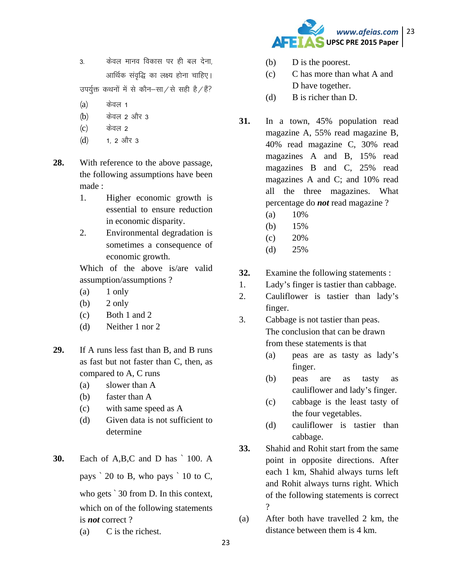3. केवल मानव विकास पर ही बल देना. आर्थिक संवृद्धि का लक्ष्य होना चाहिए।

उपर्युक्त कथनों में से कौन–सा $/$ से सही है $/$ हैं?

- $(a)$  केवल 1
- $(b)$  केवल 2 और 3
- $(c)$  केवल 2
- $(d)$  1, 2 और 3
- **28.** With reference to the above passage, the following assumptions have been made :
	- 1. Higher economic growth is essential to ensure reduction in economic disparity.
	- 2. Environmental degradation is sometimes a consequence of economic growth.

Which of the above is/are valid assumption/assumptions ?

- $(a)$  1 only
- $(b)$  2 only
- (c) Both 1 and 2
- (d) Neither 1 nor 2
- **29.** If A runs less fast than B, and B runs as fast but not faster than C, then, as compared to A, C runs
	- (a) slower than A
	- (b) faster than A
	- (c) with same speed as A
	- (d) Given data is not sufficient to determine
- **30.** Each of A,B,C and D has ` 100. A pays ` 20 to B, who pays ` 10 to C, who gets ` 30 from D. In this context, which on of the following statements is *not* correct ?
	- (a) C is the richest.



- (b) D is the poorest.
- (c) C has more than what A and D have together.
- (d) B is richer than D.
- **31.** In a town, 45% population read magazine A, 55% read magazine B, 40% read magazine C, 30% read magazines A and B, 15% read magazines B and C, 25% read magazines A and C; and 10% read all the three magazines. What percentage do *not* read magazine ?
	- $(a)$  10%
	- (b)  $15\%$
	- $(c)$  20%
	- (d)  $25%$
- **32.** Examine the following statements :
- 1. Lady's finger is tastier than cabbage.
- 2. Cauliflower is tastier than lady's finger.
- 3. Cabbage is not tastier than peas. The conclusion that can be drawn from these statements is that
	- (a) peas are as tasty as lady's finger.
	- (b) peas are as tasty as cauliflower and lady's finger.
	- (c) cabbage is the least tasty of the four vegetables.
	- (d) cauliflower is tastier than cabbage.
- **33.** Shahid and Rohit start from the same point in opposite directions. After each 1 km, Shahid always turns left and Rohit always turns right. Which of the following statements is correct ?
- (a) After both have travelled 2 km, the distance between them is 4 km.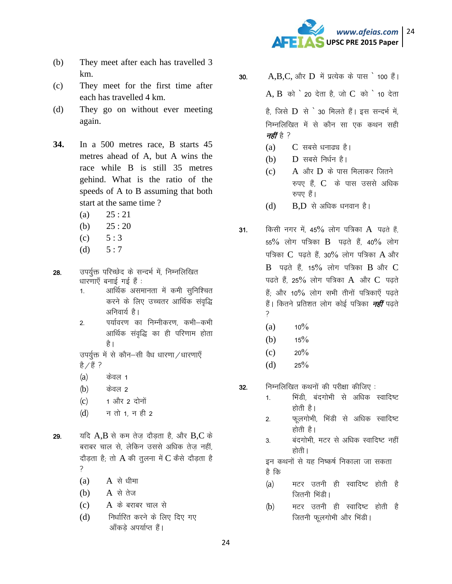

- (b) They meet after each has travelled 3 km.
- (c) They meet for the first time after each has travelled 4 km.
- (d) They go on without ever meeting again.
- **34.** In a 500 metres race, B starts 45 metres ahead of A, but A wins the race while B is still 35 metres gehind. What is the ratio of the speeds of A to B assuming that both start at the same time ?
	- $(a) 25 : 21$
	- (b)  $25:20$
	- (c)  $5:3$
	- (d)  $5:7$
- 28. जपर्युक्त परिच्छेद के सन्दर्भ में, निम्नलिखित धारणाएँ बनाई गई हैं :
	- 1. आर्थिक असमानता में कमी सुनिश्चित करने के लिए उच्चतर आर्थिक संवृद्धि अनिवार्य है।
	- 2. पर्यावरण का निम्नीकरण. कभी–कभी आर्थिक संवृद्धि का ही परिणाम होता है।
	- उपर्युक्त में से कौन-सी वैध धारणा /धारणाएँ है $/$ हैं ?
	- $(a)$  केवल 1
	- $(b)$  केवल 2
	- $(c)$  1 और 2 दोनों
	- $(d)$  न तो 1. न ही 2
- 29.  $\frac{1}{29}$  यदि A.B से कम तेज दौड़ता है, और B.C के बराबर चाल से, लेकिन उससे अधिक तेज़ नहीं, दौड़ता है; तो  $A$  की तुलना में  $C$  कैसे दौड़ता है  $\tilde{?}$ 
	- $(a)$   $A \nleftrightarrow$  धीमा
	- $(b)$   $A$  से तेज
	- $(c)$   $A$   $\vec{\phi}$  aराबर चाल से
	- (d) निर्धारित करने के लिए दिए गए आँकड़े अपर्याप्त हैं।
- 30. A,B,C, और D में प्रत्येक के पास ` 100 हैं।
	- $A$ ,  $B$  को ` 20 देता है, जो  $C$  को ` 10 देता

है, जिसे  $D$  से `30 मिलते हैं। इस सन्दर्भ में, निम्नलिखित में से कौन सा एक कथन सही *नहीं* है ?

- (a)  $C$  सबसे धनाढ्य है।
- (b)  $D \overline{R}$  सबसे निर्धन है।
- $(c)$  A और D के पास मिलाकर जितने रुपए हैं,  $C$  के पास उससे अधिक रुपए हैं।
- $(d)$  B,D से अधिक धनवान है।
- 31.  $\overline{a}$  किसी नगर में, 45% लोग पत्रिका  $A$  पढ़ते हैं,  $55\%$  लोग पत्रिका B पढते हैं 40% लोग पत्रिका  $C$  पढते हैं, 30% लोग पत्रिका  $A$  और  $\,$ B पढते हैं, 15% लोग पत्रिका  $\,$ B और  $\,$ C पढते हैं, 25% लोग पत्रिका  $A$  और  $C$  पढते हैं; और 10% लोग सभी तीनों पत्रिकाएँ पढते हैं। कितने प्रतिशत लोग कोई पत्रिका *नहीं* पढते \
	- $(a)$   $10\%$
	- (b)  $15\%$
	- $(c)$  20%
	- (d)  $25\%$
- $32.$  निम्नलिखित कथनों की परीक्षा कीजिए:
	- 1. भिंडी, बंदगोभी से अधिक स्वादिष्ट होती है।
	- 2. फूलगोभी, भिंडी से अधिक स्वादिष्ट होती है।
	- 3<sup>-</sup> बंदगोभी मटर से अधिक स्वादिष्ट नहीं होती ।

इन कथनों से यह निष्कर्ष निकाला जा सकता है कि

- (a) मटर उतनी ही स्वादिष्ट होती है जितनी भिंडी।
- (b) मटर उतनी ही स्वादिष्ट होती है जितनी फूलगोभी और भिंडी।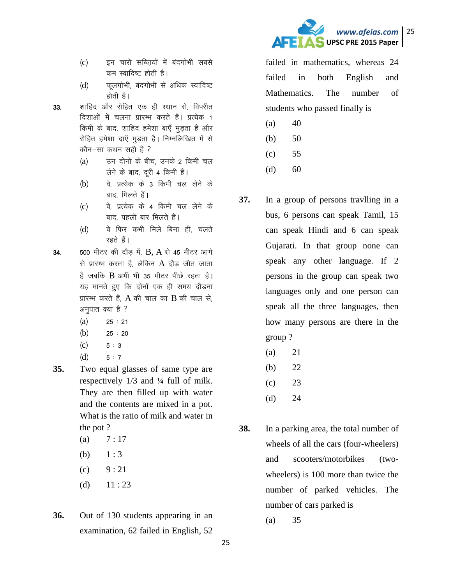

- (c) इन चारों सब्जियों में बंदगोभी सबसे कम स्वादिष्ट होती है।
- (d) फूलगोभी, बंदगोभी से अधिक स्वादिष्ट होती है।
- 33. शाहिद और रोहित एक ही स्थान से, विपरीत दिशाओं में चलना प्रारम्भ करते हैं। प्रत्येक 1 किमी के बाद, शाहिद हमेशा बाएँ मुड़ता है और रोहित हमेशा दाएँ मुडता है। निम्नलिखित में से कौन $-$ सा कथन सही है ?
	- (a) उन दोनों के बीच, उनके 2 किमी चल लेने के बाद, दूरी 4 किमी है।
	- (b) वे, प्रत्येक के 3 किमी चल लेने के बाद, मिलते हैं।
	- (c) वे, प्रत्येक के 4 किमी चल लेने के बाद, पहली बार मिलते हैं।
	- (d) वे फिर कभी मिले बिना ही, चलते रहते हैं।
- 34. 500 मीटर की दौड़ में, B, A से 45 मीटर आगे से प्रारम्भ करता है, लेकिन  $A$  दौड जीत जाता है जबकि B अभी भी 35 मीटर पीछे रहता है। यह मानते हुए कि दोनों एक ही समय दौडना प्रारम्भ करते हैं.  $\rm A$  की चाल का  $\rm B$  की चाल से. अनुपात क्या है ?
	- $(a)$  25 : 21
	- $(b)$  25 : 20
	- $(c) 5 : 3$
	- (d)  $5 : 7$
- **35.** Two equal glasses of same type are respectively 1/3 and ¼ full of milk. They are then filled up with water and the contents are mixed in a pot. What is the ratio of milk and water in the pot ?
	- (a)  $7:17$
	- (b)  $1:3$
	- $(c) \qquad 9:21$
	- (d)  $11 : 23$
- **36.** Out of 130 students appearing in an examination, 62 failed in English, 52

failed in mathematics, whereas 24 failed in both English and Mathematics. The number of students who passed finally is

- $(a)$  40
- (b)  $50$
- (c) 55
- $(d)$  60
- **37.** In a group of persons travlling in a bus, 6 persons can speak Tamil, 15 can speak Hindi and 6 can speak Gujarati. In that group none can speak any other language. If 2 persons in the group can speak two languages only and one person can speak all the three languages, then how many persons are there in the group ?
	- $(a)$  21
	- (b) 22
	- (c) 23
	- $(d)$  24
- **38.** In a parking area, the total number of wheels of all the cars (four-wheelers) and scooters/motorbikes (twowheelers) is 100 more than twice the number of parked vehicles. The number of cars parked is
	- (a) 35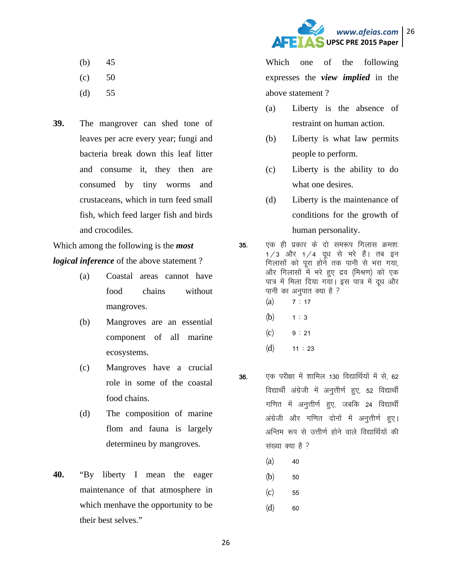

- (b) 45
- $(c) 50$
- (d) 55
- **39.** The mangrover can shed tone of leaves per acre every year; fungi and bacteria break down this leaf litter and consume it, they then are consumed by tiny worms and crustaceans, which in turn feed small fish, which feed larger fish and birds and crocodiles.

Which among the following is the *most logical inference* of the above statement ?

- (a) Coastal areas cannot have food chains without mangroves.
- (b) Mangroves are an essential component of all marine ecosystems.
- (c) Mangroves have a crucial role in some of the coastal food chains.
- (d) The composition of marine flom and fauna is largely determineu by mangroves.
- **40.** "By liberty I mean the eager maintenance of that atmosphere in which menhave the opportunity to be their best selves."

Which one of the following expresses the *view implied* in the above statement ?

- (a) Liberty is the absence of restraint on human action.
- (b) Liberty is what law permits people to perform.
- (c) Liberty is the ability to do what one desires.
- (d) Liberty is the maintenance of conditions for the growth of human personality.

35. पक ही प्रकार के दो समरूप गिलास क्रमशः  $1/3$  और  $1/4$  दूध से भरे हैं। तब इन गिलासों को पूरा होने तक पानी से भरा गया, और गिलासों में भरे हुए द्रव (मिश्रण) को एक पात्र में मिला दिया गया। इस पात्र में दुध और पानी का अनुपात क्या है ?

- (a)  $7 : 17$
- (b)  $1 : 3$
- $(c)$  9 : 21
- $(d)$  11 : 23
- **36.** एक परीक्षा में शामिल 130 विद्यार्थियों में से, 62 विद्यार्थी अंग्रेजी में अनुत्तीर्ण हुए, 52 विद्यार्थी गणित में अनूत्तीर्ण हुए, जबकि 24 विद्यार्थी अंग्रेजी और गणित दोनों में अनूत्तीर्ण हुए। अन्तिम रूप से उत्तीर्ण होने वाले विद्यार्थियों की संख्या क्या है ?
	- $(a)$  40
	- $(b)$  50
	- $\zeta$  55
	- $(d)$  60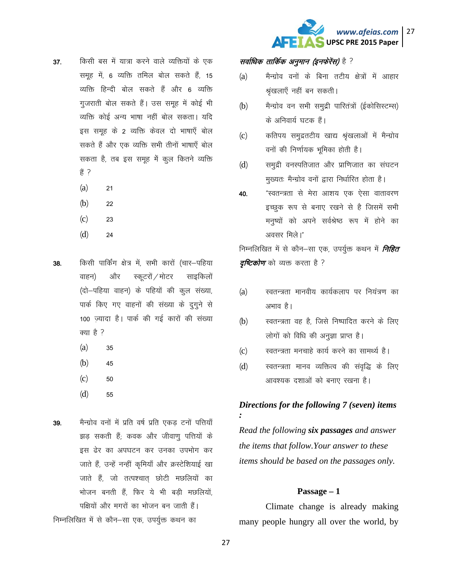

# 37. किसी बस में यात्रा करने वाले व्यक्तियों के एक समूह में, 6 व्यक्ति तमिल बोल सकते हैं, 15 व्यक्ति हिन्दी बोल सकते हैं और 6 व्यक्ति गुजराती बोल सकते हैं। उस समूह में कोई भी व्यक्ति कोई अन्य भाषा नहीं बोल सकता। यदि इस समूह के 2 व्यक्ति केवल दो भाषाएँ बोल सकते हैं और एक व्यक्ति सभी तीनों भाषाएँ बोल सकता है, तब इस समुह में कुल कितने व्यक्ति 훔 ?

- $(a)$  $21$
- $(b)$ 22
- $(c)$ 23
- $(d)$ 24

38. किसी पार्किंग क्षेत्र में, सभी कारों (चार-पहिया वाहन) और स्कटरों ∕ मोटर साइकिलों (दो-पहिया वाहन) के पहियों की कुल संख्या, पार्क किए गए वाहनों की संख्या के दुगुने से 100 ज्यादा है। पार्क की गई कारों की संख्या क्या है ?

- $(a)$ 35
- $(b)$ 45
- $(c)$ 50
- $(d)$ 55

मैन्ग्रोव वनों में प्रति वर्ष प्रति एकड टनों पत्तियाँ 39. झड सकती हैं; कवक और जीवाणु पत्तियों के इस ढेर का अपघटन कर उनका उपभोग कर जाते हैं, उन्हें नन्हीं कुमियाँ और क्रस्टेशियाई खा जाते हैं, जो तत्पश्चात् छोटी मछलियों का भोजन बनती हैं. फिर ये भी बड़ी मछलियों. पक्षियों और मगरों का भोजन बन जाती हैं। निम्नलिखित में से कौन-सा एक, उपर्युक्त कथन का

#### सर्वाधिक तार्किक अनुमान (इनफेरेंस) है ?

- मैन्ग्रोव वनों के बिना तटीय क्षेत्रों में आहार  $(a)$ श्रखलाएँ नहीं बन सकती।
- मैन्ग्रोव वन सभी समुद्री पारितंत्रों (ईकोसिस्टम्स)  $(b)$ के अनिवार्य घटक हैं।
- कतिपय समुद्रतटीय खाद्य श्रृंखलाओं में मैन्ग्रोव  $(c)$ वनों की निर्णायक भूमिका होती है।
- समुद्री वनस्पतिजात और प्राणिजात का संघटन  $(d)$ मुख्यतः मैन्ग्रोव वनों द्वारा निर्धारित होता है।
- "स्वतन्त्रता से मेरा आशय एक ऐसा वातावरण 40. इच्छुक रूप से बनाए रखने से है जिसमें सभी मनुष्यों को अपने सर्वश्रेष्ठ रूप में होने का अवसर मिले।"

निम्नलिखित में से कौन–सा एक, उपर्युक्त कथन में *निहित दृष्टिकोण* को व्यक्त करता है ?

- स्वतन्त्रता मानवीय कार्यकलाप पर नियंत्रण का  $(a)$ अभाव है।
- $(b)$ स्वतन्त्रता वह है. जिसे निष्पादित करने के लिए लोगों को विधि की अनुज्ञा प्राप्त है।
- स्वतन्त्रता मनचाहे कार्य करने का सामर्थ्य है।  $(c)$
- स्वतन्त्रता मानव व्यक्तित्व की संवृद्धि के लिए  $(d)$ आवश्यक दशाओं को बनाए रखना है।

Directions for the following 7 (seven) items Read the following six passages and answer the items that follow. Your answer to these *items should be based on the passages only.* 

### Passage  $-1$

Climate change is already making many people hungry all over the world, by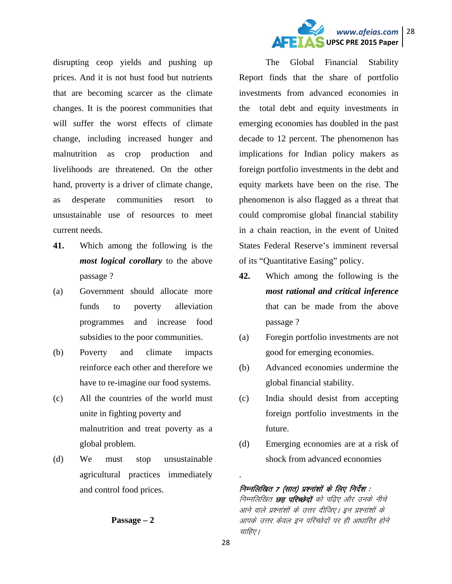

disrupting ceop yields and pushing up prices. And it is not hust food but nutrients that are becoming scarcer as the climate changes. It is the poorest communities that will suffer the worst effects of climate change, including increased hunger and malnutrition as crop production and livelihoods are threatened. On the other hand, proverty is a driver of climate change, as desperate communities resort to unsustainable use of resources to meet current needs.

- **41.** Which among the following is the *most logical corollary* to the above passage ?
- (a) Government should allocate more funds to poverty alleviation programmes and increase food subsidies to the poor communities.
- (b) Poverty and climate impacts reinforce each other and therefore we have to re-imagine our food systems.
- (c) All the countries of the world must unite in fighting poverty and malnutrition and treat poverty as a global problem.
- (d) We must stop unsustainable agricultural practices immediately and control food prices.

#### **Passage – 2**

The Global Financial Stability Report finds that the share of portfolio investments from advanced economies in the total debt and equity investments in emerging economies has doubled in the past decade to 12 percent. The phenomenon has implications for Indian policy makers as foreign portfolio investments in the debt and equity markets have been on the rise. The phenomenon is also flagged as a threat that could compromise global financial stability in a chain reaction, in the event of United States Federal Reserve's imminent reversal of its "Quantitative Easing" policy.

- **42.** Which among the following is the *most rational and critical inference*  that can be made from the above passage ?
- (a) Foregin portfolio investments are not good for emerging economies.
- (b) Advanced economies undermine the global financial stability.
- (c) India should desist from accepting foreign portfolio investments in the future.
- (d) Emerging economies are at a risk of shock from advanced economies

# <u>निम्नलिखित 7 (सात) प्रश्नांशों के लिए निर्देश :</u>

निम्नलिखित **छह परिच्छेदों** को पढिए और उनके नीचे आने वाले प्रश्नांशों के उत्तर दीजिए। इन प्रश्नांशों के आपके उत्तर केवल इन परिच्छेदों पर ही आधारित होने चाहिए ।

.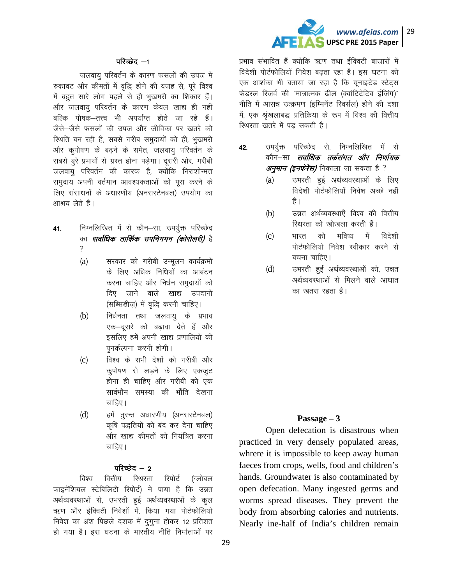

प्रभाव संभावित हैं क्योंकि ऋण तथा ईक्विटी बाजारों में विदेशी पोर्टफोलियों निवेश बढ़ता रहा है। इस घटना को एक आशंका भी बताया जा रहा है कि यूनाइटेड स्टेट्स फेडरल रिज़र्व की "मात्रात्मक ढील (क्वांटिटेटिव ईज़िंग)" नीति में आसन्न उत्क्रमण (इम्मिनेंट रिवर्सल) होने की दशा में, एक श्रृंखलाबद्ध प्रतिक्रिया के रूप में विश्व की वित्तीय स्थिरता खतरे में पड सकती है।

- 42. उपर्युक्त परिच्छेद से, निम्नलिखित में से कौन–सा *सर्वाधिक तर्कसंगत और निर्णायक अनुमान (इनफेरेंस)* निकाला जा सकता है ?
	- उभरती हुई अर्थव्यवस्थाओं के लिए  $(a)$ विदेशी पोर्टफोलियों निवेश अच्छे नहीं हैं ।
	- उन्नत अर्थव्यवस्थाएँ विश्व की वित्तीय  $(b)$ स्थिरता को खोखला करती हैं।
	- में विदेशी को भविष्य  $(c)$ भारत पोर्टफोलियो निवेश स्वीकार करने से बचना चाहिए।
	- उभरती हुई अर्थव्यवस्थाओं को, उन्नत  $(d)$ अर्थव्यवस्थाओं से मिलने वाले आघात का खतरा रहता है।

# Passage  $-3$

Open defecation is disastrous when practiced in very densely populated areas, whrere it is impossible to keep away human faeces from crops, wells, food and children's hands. Groundwater is also contaminated by open defecation. Many ingested germs and worms spread diseases. They prevent the body from absorbing calories and nutrients. Nearly ine-half of India's children remain

# परिच्छेद -1

जलवाय परिवर्तन के कारण फसलों की उपज में

रुकावट और कीमतों में वृद्धि होने की वजह से, पूरे विश्व में बहुत सारे लोग पहले से ही भुखमरी का शिकार हैं। और जलवायु परिवर्तन के कारण केवल खाद्य ही नहीं बल्कि पोषक-तत्त्व भी अपर्याप्त होते जा रहे हैं। जैसे—जैसे फसलों की उपज और जीविका पर खतरे की स्थिति बन रही है, सबसे गरीब समुदायों को ही, भुखमरी और कूपोषण के बढ़ने के समेत, जलवायू परिवर्तन के सबसे बूरे प्रभावों से ग्रस्त होना पड़ेगा। दूसरी ओर, गरीबी जलवायु परिवर्तन की कारक है, क्योंकि निराशोन्मत्त समुदाय अपनी वर्तमान आवश्यकताओं को पूरा करने के लिए संसाधनों के अधारणीय (अनसस्टेनबल) उपयोग का आश्रय लेते हैं।

- निम्नलिखित में से कौन-सा, उपर्युक्त परिच्छेद 41. का *सर्वाधिक तार्किक उपनिगमन (कोरोलरी)* है  $\mathcal{L}$ 
	- $(a)$ सरकार को गरीबी उन्मुलन कार्यक्रमों के लिए अधिक निधियों का आबंटन करना चाहिए और निर्धन समुदायों को दिए जाने वाले खाद्य उपदानों (सब्सिडीज़) में वृद्धि करनी चाहिए।
	- $(b)$ निर्धनता तथा जलवायु के प्रभाव एक-दूसरे को बढावा देते हैं और इसलिए हमें अपनी खाद्य प्रणालियों की पनर्कल्पना करनी होगी।
	- विश्व के सभी देशों को गरीबी और  $(c)$ कुपोषण से लडने के लिए एकजुट होना ही चाहिए और गरीबी को एक सार्वभौम समस्या की भाँति देखना चाहिए।
	- $(d)$ हमें तूरन्त अधारणीय (अनसस्टेनबल) कृषि पद्धतियों को बंद कर देना चाहिए और खाद्य कीमतों को नियंत्रित करना चाहिए।

# परिच्छेद — 2

विश्व वित्तीय स्थिरता रिपोर्ट (ग्लोबल फाइनेंशियल स्टेबिलिटी रिपोर्ट) ने पाया है कि उन्नत अर्थव्यवस्थाओं से, उभरती हुई अर्थव्यवस्थाओं के कुल ऋण और ईक्विटी निवेशों में, किया गया पोर्टफोलियो निवेश का अंश पिछले दशक में दुगुना होकर 12 प्रतिशत हो गया है। इस घटना के भारतीय नीति निर्माताओं पर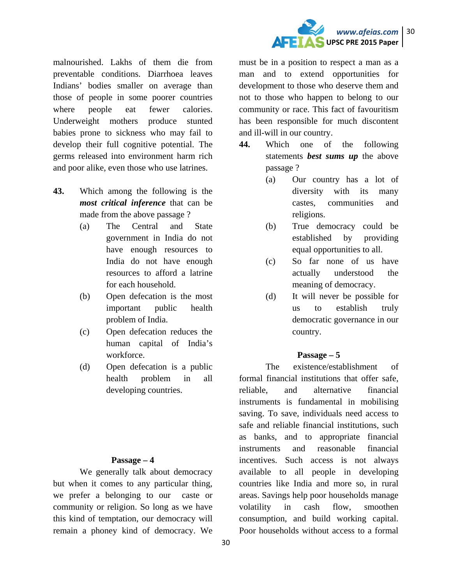

malnourished. Lakhs of them die from preventable conditions. Diarrhoea leaves Indians' bodies smaller on average than those of people in some poorer countries where people eat fewer calories. Underweight mothers produce stunted babies prone to sickness who may fail to develop their full cognitive potential. The germs released into environment harm rich and poor alike, even those who use latrines.

- **43.** Which among the following is the *most critical inference* that can be made from the above passage ?
	- (a) The Central and State government in India do not have enough resources to India do not have enough resources to afford a latrine for each household.
	- (b) Open defecation is the most important public health problem of India.
	- (c) Open defecation reduces the human capital of India's workforce.
	- (d) Open defecation is a public health problem in all developing countries.

#### **Passage – 4**

We generally talk about democracy but when it comes to any particular thing, we prefer a belonging to our caste or community or religion. So long as we have this kind of temptation, our democracy will remain a phoney kind of democracy. We

must be in a position to respect a man as a man and to extend opportunities for development to those who deserve them and not to those who happen to belong to our community or race. This fact of favouritism has been responsible for much discontent and ill-will in our country.

- **44.** Which one of the following statements *best sums up* the above passage ?
	- (a) Our country has a lot of diversity with its many castes, communities and religions.
	- (b) True democracy could be established by providing equal opportunities to all.
	- (c) So far none of us have actually understood the meaning of democracy.
	- (d) It will never be possible for us to establish truly democratic governance in our country.

# **Passage – 5**

The existence/establishment of formal financial institutions that offer safe, reliable, and alternative financial instruments is fundamental in mobilising saving. To save, individuals need access to safe and reliable financial institutions, such as banks, and to appropriate financial instruments and reasonable financial incentives. Such access is not always available to all people in developing countries like India and more so, in rural areas. Savings help poor households manage volatility in cash flow, smoothen consumption, and build working capital. Poor households without access to a formal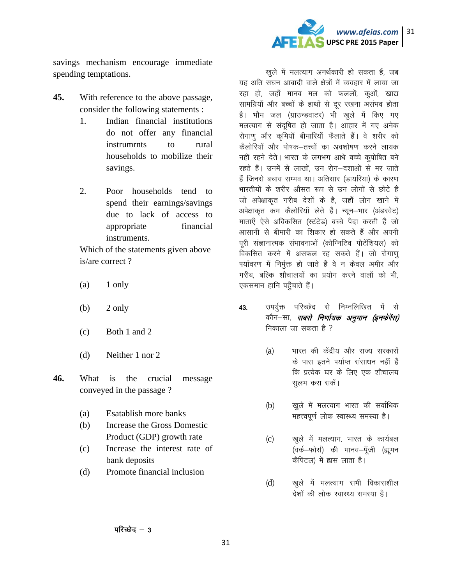

savings mechanism encourage immediate spending temptations.

- 45. With reference to the above passage, consider the following statements :
	- $1<sup>1</sup>$ Indian financial institutions do not offer any financial instrumrnts rural  $\mathsf{to}$ households to mobilize their savings.
	- $2.$ Poor households tend to spend their earnings/savings due to lack of access to financial appropriate instruments.

Which of the statements given above is/are correct?

- $(a)$ 1 only
- $(b)$ 2 only
- $(c)$ Both 1 and 2
- Neither 1 nor 2  $(d)$
- 46. the What is crucial message conveyed in the passage?
	- $(a)$ Esatablish more banks
	- $(b)$ **Increase the Gross Domestic** Product (GDP) growth rate
	- $(c)$ Increase the interest rate of bank deposits
	- Promote financial inclusion (d)

खुले में मलत्याग अनर्थकारी हो सकता हैं, जब यह अति सघन आबादी वाले क्षेत्रों में व्यवहार में लाया जा रहा हो, जहाँ मानव मल को फललों, कूओं, खाद्य सामग्रियों और बच्चों के हाथों से दूर रखना असंभव होता है। भौम जल (ग्राउन्डवाटर) भी खुले में किए गए मलत्याग से संदूषित हो जाता है। आहार में गए अनेक रोगाणु और कृमियाँ बीमारियाँ फैलाते हैं। वे शरीर को कैलोरियों और पोषक–तत्त्वों का अवशोषण करने लायक नहीं रहने देते। भारत के लगभग आधे बच्चे कूपोषित बने रहते हैं। उनमें से लाखों, उन रोग-दशाओं से मर जाते हैं जिनसे बचाव सम्भव था। अतिसार (डायरिया) के कारण भारतीयों के शरीर औसत रूप से उन लोगों से छोटे हैं जो अपेक्षाकृत गरीब देशों के है, जहाँ लोग खाने में अपेक्षाकृत कम कैलोरियाँ लेते हैं। न्यून-भार (अंडरवेट) माताएँ ऐसे अविकसित (स्टंटेड) बच्चे पैदा करती हैं जो आसानी से बीमारी का शिकार हो सकते हैं और अपनी पूरी सज्ञानात्मक संभावनाओं (कोग्निटिव पोटेंशियल) को विकसित करने में असफल रह सकते हैं। जो रोगाणू पर्यावरण में निर्मुक्त हो जाते हैं वे न केवल अमीर और गरीब, बल्कि शौचालयों का प्रयोग करने वालों को भी, एकसमान हानि पहँचाते हैं।

- 43. उपर्युक्त परिच्छेद से निम्नलिखित में से कौन—सा, *सबसे निर्णायक अनुमान (इनफेरेंस)* निकाला जा सकता है ?
	- भारत की केंदीय और राज्य सरकारों  $(a)$ के पास इतने पर्याप्त संसाधन नहीं है कि प्रत्येक घर के लिए एक शौचालय सूलभ करा सकें।
	- $(b)$ खुले में मलत्याग भारत की सर्वाधिक महत्त्वपूर्ण लोक स्वास्थ्य समस्या है।
	- खुले में मलत्याग, भारत के कार्यबल  $(c)$ (वर्क–फोर्स) की मानव–पूँजी (ह्यूमन कैपिटल) में ह्वास लाता है।
	- खुले में मलत्याग सभी विकासशील  $(d)$ देशों की लोक स्वास्थ्य समस्या है।

# परिच्छेद — 3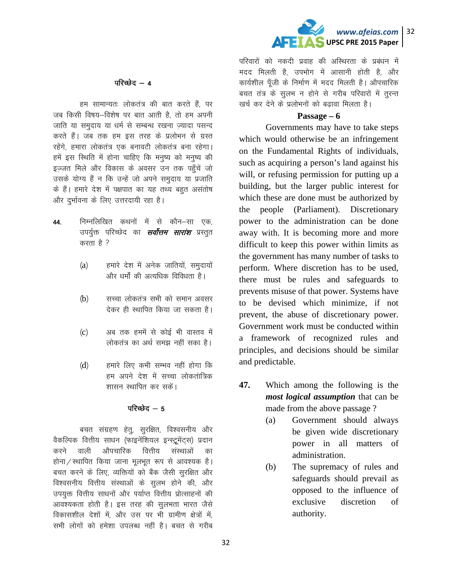

परिवारों को नकदी प्रवाह की अस्थिरता के प्रबंधन में मदद मिलती है. उपभोग में आसानी होती है. और कार्यशील पूँजी के निर्माण में मदद मिलती है। औपचारिक बचत तंत्र के सुलभ न होने से गरीब परिवारों में तुरन्त खर्च कर देने के प्रलोभनों को बढावा मिलता है।

#### Passage  $-6$

Governments may have to take steps which would otherwise be an infringement on the Fundamental Rights of individuals, such as acquiring a person's land against his will, or refusing permission for putting up a building, but the larger public interest for which these are done must be authorized by the people (Parliament). Discretionary power to the administration can be done away with. It is becoming more and more difficult to keep this power within limits as the government has many number of tasks to perform. Where discretion has to be used, there must be rules and safeguards to prevents misuse of that power. Systems have to be devised which minimize, if not prevent, the abuse of discretionary power. Government work must be conducted within a framework of recognized rules and principles, and decisions should be similar and predictable.

- 47. Which among the following is the *most logical assumption that can be* made from the above passage?
	- $(a)$ Government should always be given wide discretionary power in all matters of administration.
	- The supremacy of rules and  $(b)$ safeguards should prevail as opposed to the influence of exclusive discretion  $\sigma$ f authority.

#### परिच्छेद — 4

हम सामान्यतः लोकतंत्र की बात करते हैं. पर जब किसी विषय-विशेष पर बात आती है. तो हम अपनी जाति या समुदाय या धर्म से सम्बन्ध रखना ज़्यादा पसन्द करते हैं। जब तक हम इस तरह के प्रलोभन से ग्रस्त रहेंगे, हमारा लोकतंत्र एक बनावटी लोकतंत्र बना रहेगा। हमें इस स्थिति में होना चाहिए कि मनुष्य को मनुष्य की इज्जत मिले और विकास के अवसर उन तक पहुँचें जो उसके योग्य हैं न कि उन्हें जो अपने समुदाय या प्रजाति के हैं। हमारे देश में पक्षपात का यह तथ्य बहुत असंतोष और दुर्भावना के लिए उत्तरदायी रहा है।

- निम्नलिखित कथनों में से कौन-सा एक, 44. उपर्युक्त परिच्छेद का *सर्वोत्तम सारांश* प्रस्तुत करता है ?
	- हमारे देश में अनेक जातियों, समुदायों  $(a)$ और धर्मों की अत्यधिक विविधता है।
	- सच्चा लोकतंत्र सभी को समान अवसर  $(b)$ देकर ही स्थापित किया जा सकता है।
	- $(c)$ अब तक हममें से कोई भी वास्तव में लोकतंत्र का अर्थ समझ नहीं सका है।
	- $(d)$ हमारे लिए कभी सम्भव नहीं होगा कि हम अपने देश में सच्चा लोकतांत्रिक शासन स्थापित कर सकें।

#### परिच्छेद $-5$

बचत संग्रहण हेतू, सुरक्षित, विश्वसनीय और वैकल्पिक वित्तीय साधन (फाइनेंशियल इन्स्ट्रूमेंट्स) प्रदान वाली औपचारिक वित्तीय संस्थाओं करने का होना / स्थापित किया जाना मूलभूत रूप से आवश्यक है। बचत करने के लिए, व्यक्तियों को बैंक जैसी सुरक्षित और विश्वसनीय वित्तीय संस्थाओं के सुलभ होने की, और उपयुक्त वित्तीय साधनों और पर्याप्त वित्तीय प्रोत्साहनों की आवश्यकता होती है। इस तरह की सूलभता भारत जैसे विकासशील देशों में, और उस पर भी ग्रामीण क्षेत्रों में, सभी लोगों को हमेशा उपलब्ध नहीं है। बचत से गरीब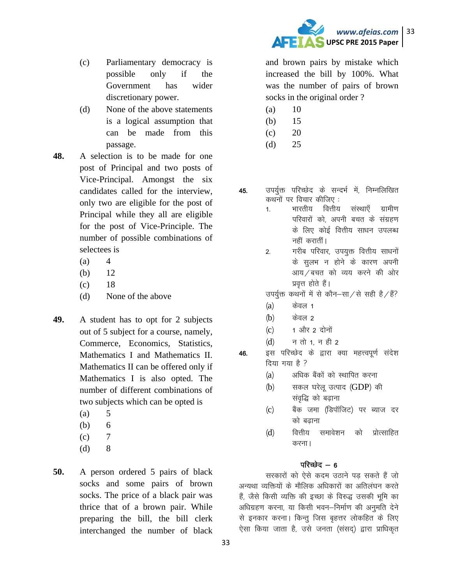



- (c) Parliamentary democracy is possible only if the Government has wider discretionary power.
- (d) None of the above statements is a logical assumption that can be made from this passage.
- **48.** A selection is to be made for one post of Principal and two posts of Vice-Principal. Amongst the six candidates called for the interview, only two are eligible for the post of Principal while they all are eligible for the post of Vice-Principle. The number of possible combinations of selectees is
	- $(a)$  4
	- (b) 12
	- (c) 18
	- (d) None of the above
- **49.** A student has to opt for 2 subjects out of 5 subject for a course, namely, Commerce, Economics, Statistics, Mathematics I and Mathematics II. Mathematics II can be offered only if Mathematics I is also opted. The number of different combinations of two subjects which can be opted is
	- $(a) 5$
	- (b) 6
	- $(c)$  7
	- (d) 8
- **50.** A person ordered 5 pairs of black socks and some pairs of brown socks. The price of a black pair was thrice that of a brown pair. While preparing the bill, the bill clerk interchanged the number of black

and brown pairs by mistake which increased the bill by 100%. What was the number of pairs of brown socks in the original order ?

- $(a)$  10
- (b) 15
- $(c)$  20
- (d) 25
- 45. व्यर्युक्त परिच्छेद के सन्दर्भ में, निम्नलिखित कथनों पर विचार कीजिए:
	- 1<sup>-</sup> भारतीय वित्तीय संस्थाएँ ग्रामीण परिवारों को, अपनी बचत के संग्रहण के लिए कोई वित्तीय साधन उपलब्ध नहीं करातीं।
	- 2. गरीब परिवार, उपयुक्त वित्तीय साधनों के सुलभ न होने के कारण अपनी आय $\sqrt{ }$ बचत को व्यय करने की ओर प्रवृत्त होते हैं।

उपर्युक्त कथनों में से कौन–सा $\ell$ से सही है $\ell$ हैं?

- $(a)$  केवल 1
- (b) केवल 2
- $(c)$  1 और 2 दोनों
- $(d)$  नतो 1. न ही 2

46. इस परिच्छेद के द्वारा क्या महत्त्वपूर्ण संदेश  $f$ दिया गया है ?

- (a) अधिक बैंकों को स्थापित करना
- (b) सकल घरेलू उत्पाद (GDP) की संवृद्धि को बढ़ाना
- (c) बैंक जमा (डिपॉजिट) पर ब्याज दर को बढाना
- (d) वित्तीय समावेशन को प्रोत्साहित करना ।

# परिच्छेद $-6$

सरकारों को ऐसे कदम उठाने पड सकते हैं जो अन्यथा व्यक्तियों के मौलिक अधिकारों का अतिलंघन करते हैं, जैसे किसी व्यक्ति की इच्छा के विरुद्ध उसकी भमि का अधिग्रहण करना, या किसी भवन–निर्माण की अनुमति देने से इनकार करना। किन्तु जिस बृहत्तर लोकहित के लिए ऐसा किया जाता है, उसे जनता (संसद) द्वारा प्राधिकृत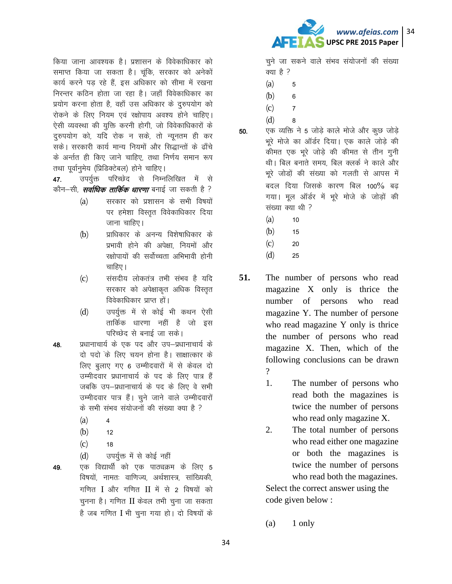

चुने जा सकने वाले संभव संयोजनों की संख्या क्या है ?

- $(a)$ 5
- $(b)$ 6
- $(c)$  $\overline{7}$

 $\mathsf{R}$ 

- $(d)$
- एक व्यक्ति ने 5 जोड़े काले मोजे और कुछ जोड़े 50. भूरे मोजे का ऑर्डर दिया। एक काले जोड़े की कीमत एक भूरे जोडे की कीमत से तीन गुनी थी। बिल बनाते समय, बिल क्लर्क ने काले और भूरे जोड़ों की संख्या को गलती से आपस में बदल दिया जिसके कारण बिल 100% बढ गया। मूल ऑर्डर में भूरे मोजे के जोडों की संख्या क्या थी ?
	- $(a)$ 10
	- $(b)$ 15
	- $(c)$ 20
	- $(d)$ 25
- 51. The number of persons who read magazine X only is thrice the number of persons who read magazine Y. The number of persone who read magazine Y only is thrice the number of persons who read magazine X. Then, which of the following conclusions can be drawn  $\gamma$ 
	- 1. The number of persons who read both the magazines is twice the number of persons who read only magazine X.
	- 2. The total number of persons who read either one magazine or both the magazines is twice the number of persons who read both the magazines.

Select the correct answer using the code given below:

 $(a)$ 1 only

किया जाना आवश्यक है। प्रशासन के विवेकाधिकार को समाप्त किया जा सकता है। चुंकि, सरकार को अनेकों कार्य करने पड़ रहे हैं, इस अधिकार को सीमा में रखना निरन्तर कठिन होता जा रहा है। जहाँ विवेकाधिकार का प्रयोग करना होता है, वहाँ उस अधिकार के दुरुपयोग को रोकने के लिए नियम एवं रक्षोपाय अवश्य होने चाहिए। ऐसी व्यवस्था की युक्ति करनी होगी, जो विवेकाधिकारों के दुरुपयोग को, यदि रोक न सके, तो न्यूनतम ही कर सके। सरकारी कार्य मान्य नियमों और सिद्धान्तों के ढाँचे के अर्न्तत ही किए जाने चाहिए, तथा निर्णय समान रूप तथा पूर्वानुमेय (प्रिडिक्टेबल) होने चाहिए।

उपर्युक्त परिच्छेद से निम्नलिखित में से 47. कौन–सी. *सर्वाधिक तार्किक धारणा* **बनाई जा सकती है** ?

- सरकार को प्रशासन के सभी विषयों  $(a)$ पर हमेशा विस्तृत विवेकाधिकार दिया जाना चाहिए।
- प्राधिकार के अनन्य विशेषाधिकार के  $(b)$ प्रभावी होने की अपेक्षा नियमों और रक्षोपायों की सर्वोच्चता अभिभावी होनी चाहिए।
- संसदीय लोकतंत्र तभी संभव है यदि  $(c)$ सरकार को अपेक्षाकृत अधिक विस्तृत विवेकाधिकार प्राप्त हों।
- $(d)$ उपर्युक्त में से कोई भी कथन ऐसी तार्किक धारणा नहीं है जो इस परिच्छेद से बनाई जा सके।
- प्रधानाचार्य के एक पद और उप-प्रधानाचार्य के 48. दो पदो के लिए चयन होना है। साक्षात्कार के लिए बुलाए गए 6 उम्मीदवारों में से केवल दो उम्मीदवार प्रधानाचार्य के पद के लिए पात्र हैं जबकि उप-प्रधानाचार्य के पद के लिए वे सभी उम्मीदवार पात्र हैं। चुने जाने वाले उम्मीदवारों के सभी संभव संयोजनों की संख्या क्या है ?
	- $(a)$  $\overline{4}$
	- $(b)$  $12$
	- $(c)$ 18
	- $(d)$ उपर्युक्त में से कोई नहीं
- एक विद्यार्थी को एक पाठ्यक्रम के लिए 5 49. विषयों, नामतः वाणिज्य, अर्थशास्त्र, सांख्यिकी गणित I और गणित II में से 2 विषयों को चूनना है। गणित II केवल तभी चुना जा सकता है जब गणित I भी चुना गया हो। दो विषयों के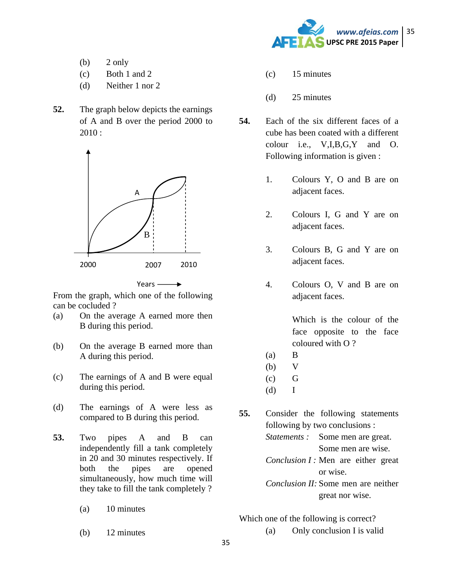

- $(b)$  2 only
- (c) Both 1 and 2
- (d) Neither 1 nor 2
- **52.** The graph below depicts the earnings of A and B over the period 2000 to  $2010:$



From the graph, which one of the following can be cocluded ?

- (a) On the average A earned more then B during this period.
- (b) On the average B earned more than A during this period.
- (c) The earnings of A and B were equal during this period.
- (d) The earnings of A were less as compared to B during this period.
- **53.** Two pipes A and B can independently fill a tank completely in 20 and 30 minutes respectively. If both the pipes are opened simultaneously, how much time will they take to fill the tank completely ?
	- (a) 10 minutes
	- (b) 12 minutes
- (c) 15 minutes
- (d) 25 minutes
- **54.** Each of the six different faces of a cube has been coated with a different colour i.e., V,I,B,G,Y and O. Following information is given :
	- 1. Colours Y, O and B are on adjacent faces.
	- 2. Colours I, G and Y are on adjacent faces.
	- 3. Colours B, G and Y are on adjacent faces.
	- 4. Colours O, V and B are on adjacent faces.

Which is the colour of the face opposite to the face coloured with O ?

- $(a)$  B
- (b) V
- $(c)$  G
- (d) I

**55.** Consider the following statements following by two conclusions : *Statements :* Some men are great. Some men are wise. *Conclusion I :* Men are either great or wise. *Conclusion II:* Some men are neither

great nor wise.

Which one of the following is correct?

(a) Only conclusion I is valid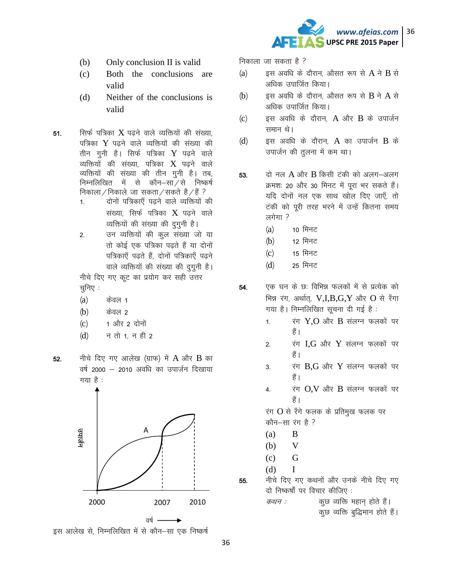

- Only conclusion II is valid (b)
- Both the conclusions are  $(c)$ valid
- Neither of the conclusions is  $(d)$ valid
- सिर्फ पत्रिका  $X$  पढने वाले व्यक्तियों की संख्या,  $51.$ पत्रिका  $Y$  पढने वाले व्यक्तियों की संख्या की तीन गुनी है। सिर्फ पत्रिका  $Y$  पढने वाले व्यक्तियों की संख्या, पत्रिका  $X$  पढने वाले व्यक्तियों की संख्या की तीन गुनी है। तब, निम्नलिखित में से कौन–सा⁄से निष्कर्ष निकाला / निकाले जा सकता / सकते है / है ?
	- दोनों पत्रिकाएँ पढने वाले व्यक्तियों की  $1$ संख्या, सिर्फ पत्रिका  $X$  पढने वाले व्यक्तियों की संख्या की दुगुनी है।
	- उन व्यक्तियों की कूल संख्या जो या  $2<sup>1</sup>$ तो कोई एक पत्रिका पढते हैं या दोनों पत्रिकाएँ पढते हैं, दोनों पत्रिकाएँ पढने वाले व्यक्तियों की संख्या की दुगुनी है।
	- नीचे दिए गए कूट का प्रयोग कर सही उत्तर चुनिए :
	- $(a)$ केवल 1
	- $(b)$ केवल २
	- $(c)$ 1 और 2 दोनों
	- न तो 1. न ही 2  $(d)$
- नीचे दिए गए आलेख (ग्राफ) में  $A$  और  $B$  का 52. वर्ष 2000 - 2010 अवधि का उपार्जन दिखाया गया $\hat{g}$ :



इस आलेख से, निम्नलिखित में से कौन–सा एक निष्कर्ष

निकाला जा सकता है ?

- इस अवधि के दौरान, औसत रूप से  $A$  ने  $B$  से  $(a)$ अधिक उपार्जित किया।
- इस अवधि के दौरान, औसत रूप से  $B$  ने  $A$  से  $(b)$ अधिक उपार्जित किया।
- इस अवधि के दौरान,  $A$  और  $B$  के उपार्जन  $(c)$ समान थे।
- $(d)$ इस अवधि के दौरान,  $A$  का उपार्जन  $B$  के उपार्जन की तुलना में कम था।
- 53. दो नल  $A$  और  $B$  किसी टंकी को अलग-अलग क्रमशः 20 और 30 मिनट में पूरा भर सकते हैं। यदि दोनों नल एक साथ खोल दिए जाएँ, तो टकी को पूरी तरह भरने में उन्हें कितना समय लगेगा $\overline{?}$ 
	- $(a)$ 10 मिनट
	- 12 मिनट  $(b)$
	- 15 मिनट  $(c)$
	- $(d)$ 25 मिनट
- एक घन के छः विभिन्न फलकों में से प्रत्येक को 54. भिन्न रंग, अर्थात, V,I,B,G,Y और O से रँगा गया है। निम्नलिखित सूचना दी गई है:
	- रंग  $Y.O$  और  $B$  संलग्न फलकों पर  $1.$ है ।
	- रग  $IG$  और  $Y$  सलग्न फलको पर  $2.$ हैं ।
	- रग  $BG$  और  $Y$  सलग्न फलको पर 3. हैं ।
	- रंग  $O, V$  और  $B$  संलग्न फलकों पर 4. हैं ।

रंग  $O$  से रँगे फलक के प्रतिमुख फलक पर कौन-सा रंग है ?

- B (a)
- $\overline{\mathsf{V}}$  $(b)$
- $(c)$ G
- $(d)$  $\mathbf{I}$
- नीचे दिए गए कथनों और उनके नीचे दिए गए 55. दो निष्कर्षों पर विचार कीजिए :
	- कुछ व्यक्ति महान होते हैं। कथन : कूछ व्यक्ति बुद्धिमान होते हैं।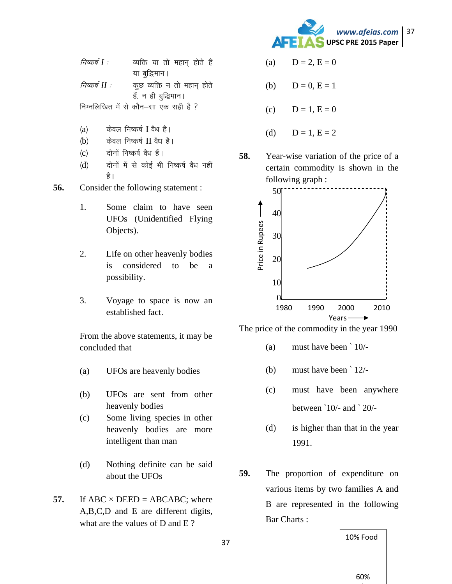

- (a)  $D = 2, E = 0$
- (b)  $D = 0, E = 1$
- (c)  $D = 1, E = 0$
- (d)  $D = 1, E = 2$
- **58.** Year-wise variation of the price of a certain commodity is shown in the following graph :



The price of the commodity in the year 1990

- (a) must have been ` 10/-
- (b) must have been ` 12/-
- (c) must have been anywhere between  $10/-$  and  $20/-$
- (d) is higher than that in the year 1991.
- **59.** The proportion of expenditure on various items by two families A and B are represented in the following Bar Charts :



- $(a)$  केवल निष्कर्ष I वैध है।
- $(b)$  केवल निष्कर्ष II वैध है।
- (c) दोनों निष्कर्ष वैध हैं।
- (d) दोनों में से कोई भी निष्कर्ष वैध नहीं है।
- **56.** Consider the following statement :
	- 1. Some claim to have seen UFOs (Unidentified Flying Objects).
	- 2. Life on other heavenly bodies is considered to be a possibility.
	- 3. Voyage to space is now an established fact.

From the above statements, it may be concluded that

- (a) UFOs are heavenly bodies
- (b) UFOs are sent from other heavenly bodies
- (c) Some living species in other heavenly bodies are more intelligent than man
- (d) Nothing definite can be said about the UFOs
- **57.** If ABC  $\times$  DEED = ABCABC; where A,B,C,D and E are different digits, what are the values of D and E ?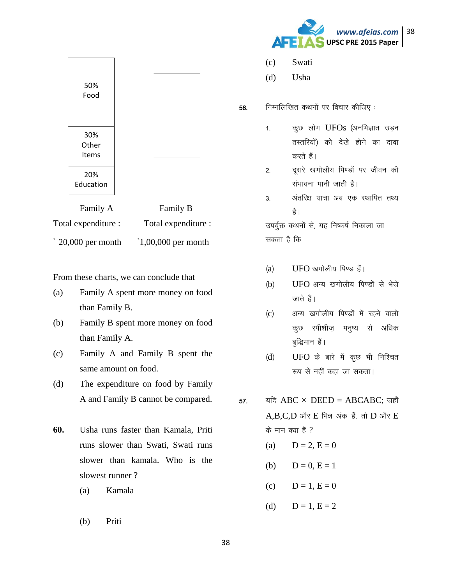

- (c) Swati
- (d) Usha

50% Food 30% **Other** Items 20% Education

| Family A                   | Family B             |
|----------------------------|----------------------|
| Total expenditure :        | Total expenditure :  |
| $\degree$ 20,000 per month | $1,00,000$ per month |

From these charts, we can conclude that

- (a) Family A spent more money on food than Family B.
- (b) Family B spent more money on food than Family A.
- (c) Family A and Family B spent the same amount on food.
- (d) The expenditure on food by Family A and Family B cannot be compared.
- **60.** Usha runs faster than Kamala, Priti runs slower than Swati, Swati runs slower than kamala. Who is the slowest runner ?
	- (a) Kamala
	- (b) Priti
- $56.$  निम्नलिखित कथनों पर विचार कीजिए :
	- 1. कुछ लोग UFOs (अनभिज्ञात उडन तस्तरियों) को देखे होने का दावा करते हैं।
	- 2. दूसरे खगोलीय पिण्डों पर जीवन की संभावना मानी जाती है।
	- 3. अंतरिक्ष यात्रा अब एक स्थापित तथ्य है।

उपर्युक्त कथनों से, यह निष्कर्ष निकाला जा सकता है कि

- (a)  $UFO$  खगोलीय पिण्ड हैं।
- (b) UFO अन्य खगोलीय पिण्डों से भेजे जाते हैं।
- (c) अन्य खगोलीय पिण्डों में रहने वाली कुछ स्पीशीज़ मनुष्य से अधिक बुद्धिमान हैं।
- (d) UFO के बारे में कुछ भी निश्चित रूप से नहीं कहा जा सकता।
- 57. यदि ABC  $\times$  DEED = ABCABC; जहाँ  $A, B, C, D$  और  $E$  भिन्न अंक हैं, तो  $D$  और  $E$  $\vec{p}$  मान क्या है ?
	- (a)  $D = 2, E = 0$
	- (b)  $D = 0, E = 1$
	- (c)  $D = 1, E = 0$
	- (d)  $D = 1, E = 2$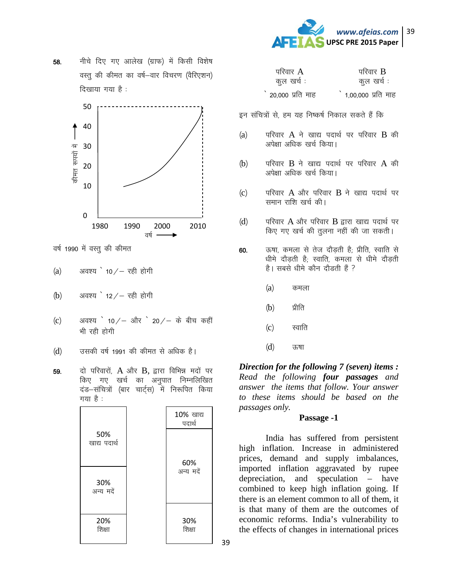

58. नीचे दिए गए आलेख (ग्राफ) में किसी विशेष वस्तू की कीमत का वर्ष-वार विचरण (वैरिएशन)  $f$ दिखाया गया है:



वर्ष 1990 में वस्तू की कीमत

- (a) अवश्य 10/ $-$  रही होगी
- (b) अवश्य 12/ $-$  रही होगी
- (c) अवश्य ` 10 / और ` 20 / के बीच कहीं भी रही होगी
- (d) उसकी वर्ष 1991 की कीमत से अधिक है।
- 59.  $\vec{r}$ दो परिवारों, A और B, द्वारा विभिन्न मदों पर किए गए खर्च का अनुपात निम्नलिखित .<br>दंड–संचित्रों (बार चार्ट्स) में निरूपित किया गया $\dot{\epsilon}$ :



| परिवार $\bm{A}$  | परिवार $\bf{B}$      |  |  |  |
|------------------|----------------------|--|--|--|
| कुल खर्च :       | कुल खर्च :           |  |  |  |
| 20,000 प्रति माह | े 1,00,000 प्रति माह |  |  |  |

इन संचित्रों से. हम यह निष्कर्ष निकाल सकते हैं कि

- (a) परिवार A ने खाद्य पदार्थ पर परिवार B की अपेक्षा अधिक खर्च किया।
- (b) परिवार B ने खाद्य पदार्थ पर परिवार A की अपेक्षा अधिक खर्च किया।
- (c) परिवार A और परिवार B ने खाद्य पदार्थ पर समान राशि खर्च की।
- (d) परिवार A और परिवार B द्वारा खाद्य पदार्थ पर किए गए खर्च की तुलना नहीं की जा सकती।
- 60. ऊषा, कमला से तेज दौडती है; प्रीति, स्वाति से धीमे दौडती है; स्वाति, कमला से धीमे दौडती है। सबसे धीमे कौन दौडती हैं ?
	- $(a)$  कमला
	- $(h)$  प्रीति
	- $(c)$  स्वाति
	- (d) ऊषा

*Direction for the following 7 (seven) items : Read the following four passages and answer the items that follow. Your answer to these items should be based on the passages only.* 

#### **Passage -1**

India has suffered from persistent high inflation. Increase in administered prices, demand and supply imbalances, imported inflation aggravated by rupee depreciation, and speculation – have combined to keep high inflation going. If there is an element common to all of them, it is that many of them are the outcomes of economic reforms. India's vulnerability to the effects of changes in international prices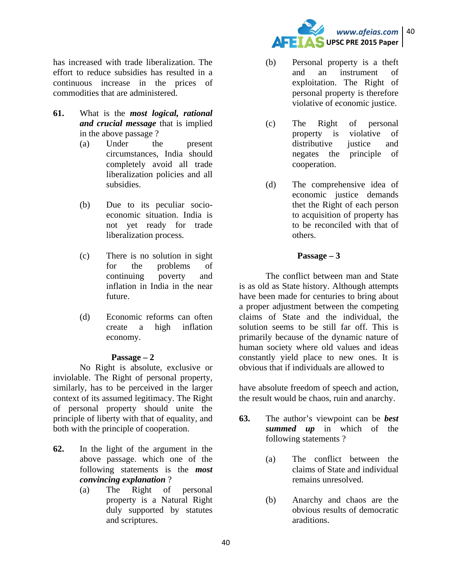

has increased with trade liberalization. The effort to reduce subsidies has resulted in a continuous increase in the prices of commodities that are administered.

- **61.** What is the *most logical, rational and crucial message* that is implied in the above passage ?
	- (a) Under the present circumstances, India should completely avoid all trade liberalization policies and all subsidies.
	- (b) Due to its peculiar socioeconomic situation. India is not yet ready for trade liberalization process.
	- (c) There is no solution in sight for the problems of continuing poverty and inflation in India in the near future.
	- (d) Economic reforms can often create a high inflation economy.

# **Passage – 2**

No Right is absolute, exclusive or inviolable. The Right of personal property, similarly, has to be perceived in the larger context of its assumed legitimacy. The Right of personal property should unite the principle of liberty with that of equality, and both with the principle of cooperation.

- **62.** In the light of the argument in the above passage. which one of the following statements is the *most convincing explanation* ?
	- (a) The Right of personal property is a Natural Right duly supported by statutes and scriptures.
- (b) Personal property is a theft and an instrument of exploitation. The Right of personal property is therefore violative of economic justice.
- (c) The Right of personal property is violative of distributive iustice and negates the principle of cooperation.
- (d) The comprehensive idea of economic justice demands thet the Right of each person to acquisition of property has to be reconciled with that of others.

# **Passage – 3**

The conflict between man and State is as old as State history. Although attempts have been made for centuries to bring about a proper adjustment between the competing claims of State and the individual, the solution seems to be still far off. This is primarily because of the dynamic nature of human society where old values and ideas constantly yield place to new ones. It is obvious that if individuals are allowed to

have absolute freedom of speech and action, the result would be chaos, ruin and anarchy.

- **63.** The author's viewpoint can be *best summed up* in which of the following statements ?
	- (a) The conflict between the claims of State and individual remains unresolved.
	- (b) Anarchy and chaos are the obvious results of democratic araditions.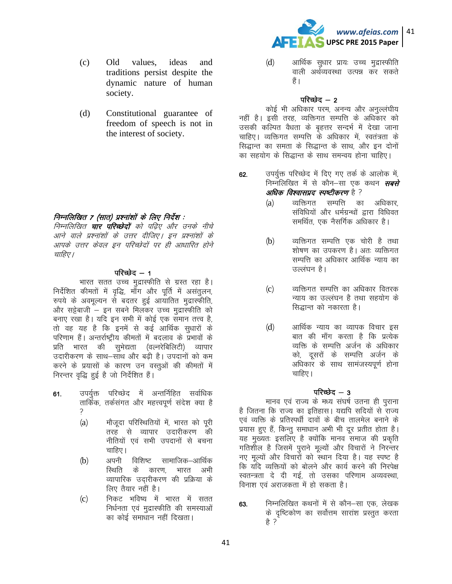

- $(c)$ Old values, ideas and traditions persist despite the dynamic nature of human society.
- $(d)$ Constitutional guarantee of freedom of speech is not in the interest of society.

### निम्नलिखित 7 (सात) प्रश्नांशों के लिए निर्देश :

निम्नलिखित **चार परिच्छेदों** को पढिए और उनके नीचे आने वाले प्रश्नांशों के उत्तर दीजिए। इन प्रश्नांशों के आपके उत्तर केवल इन परिच्छेदों पर ही आधारित होने चाहिए ।

#### परिच्छेद $-1$

भारत सतत उच्च मुद्रास्फीति से ग्रस्त रहा है। निर्देशित कीमतों में वृद्धि, मॉंग और पूर्ति में असंतुलन, रुपये के अवमूल्यन से बदतर हुई आयातित मुद्रास्फीति, और सट्टेबाजी – इन सबने मिलकर उच्च मुद्रास्फीति को बनाए रखा है। यदि इन सभी में कोई एक समान तत्त्व है, तो वह यह है कि इनमें से कई आर्थिक सुधारों के परिणाम हैं। अन्तर्राष्ट्रीय कीमतों में बदलाव के प्रभावों के प्रति भारत की सुभेद्यता (वल्नरेबिलिटी) व्यापार उदारीकरण के साथ—साथ और बढी है। उपदानों को कम करने के प्रयासों के कारण उन वस्तुओं की कीमतों में निरन्तर वृद्धि हुई है जो निर्देशित हैं।

- उपर्युक्त परिच्छेद में अन्तर्निहित सर्वाधिक 61. तार्किक, तर्कसंगत और महत्त्वपूर्ण संदेश क्या है ?
	- मौजूदा परिस्थितियों में, भारत को पूरी  $(a)$ तरह से व्यापार उदारीकरण की नीतियों एवं सभी उपदानों से बचना चाहिए।
	- अपनी विशिष्ट सामाजिक–आर्थिक  $(b)$ रिथति के कारण. भारत अभी व्यापारिक उदारीकरण की प्रक्रिया के लिए तैयार नहीं है।
	- निकट भविष्य में भारत में सतत  $(c)$ निर्धनता एवं मुद्रास्फीति की समस्याओं का कोई समाधान नहीं दिखता।

आर्थिक सुधार प्रायः उच्च मुद्रास्फीति  $(d)$ वाली अर्थव्यवस्था उत्पन्न कर सकते हैं ।

#### परिच्छेद $-2$

कोई भी अधिकार परम, अनन्य और अनुल्लंघीय नहीं है। इसी तरह, व्यक्तिगत सम्पत्ति के अधिकार को उसकी कल्पित वैधता के बृहत्तर सन्दर्भ में देखा जाना चाहिए। व्यक्तिगत सम्पत्ति के अधिकार में, स्वतंत्रता के सिद्धान्त का समता के सिद्धान्त के साथ, और इन दोनों का सहयोग के सिद्धान्त के साथ समन्वय होना चाहिए।

- 62. उपर्युक्त परिच्छेद में दिए गए तर्क के आलोक में, निम्नलिखित में से कौन–सा एक कथन *सबसे* अधिक विश्वासप्रद स्पष्टीकरण है ?
	- व्यक्तिगत सम्पत्ति का अधिकार.  $(a)$ संविधियों और धर्मग्रन्थों द्वारा विधिवत समर्थित, एक नैसर्गिक अधिकार है।
	- व्यक्तिगत सम्पत्ति एक चोरी है तथा  $(b)$ शोषण का उपकरण है। अतः व्यक्तिगत सम्पत्ति का अधिकार आर्थिक न्याय का उल्लंघन है।
	- व्यक्तिगत सम्पत्ति का अधिकार वितरक  $(c)$ न्याय का उल्लंघन है तथा सहयोग के सिद्धान्त को नकारता है।
	- $(d)$ आर्थिक न्याय का व्यापक विचार इस बात की माँग करता है कि प्रत्येक व्यक्ति के सम्पत्ति अर्जन के अधिकार को, दूसरों के सम्पत्ति अर्जन के अधिकार के साथ सामंजस्यपूर्ण होना चाहिए।

#### परिच्छेद $-3$

मानव एवं राज्य के मध्य संघर्ष उतना ही पुराना है जितना कि राज्य का इतिहास। यद्यपि सदियों से राज्य एवं व्यक्ति के प्रतिस्पर्धी दावों के बीच तालमेल बनाने के प्रयास हुए हैं, किन्तू समाधान अभी भी दूर प्रतीत होता है। यह मुख्यतः इसलिए है क्योंकि मानव समाज की प्रकृति गतिशील है जिसमें पुराने मूल्यों और विचारों ने निरन्तर नए मुल्यों और विचारों को रश्यान दिया है। यह स्पष्ट है कि यदि व्यक्तियों को बोलने और कार्य करने की निरपेक्ष स्वतन्त्रता दे दी गई, तो उसका परिणाम अव्यवस्था, विनाश एवं अराजकता में हो सकता है।

निम्नलिखित कथनों में से कौन–सा एक, लेखक 63. के दृष्टिकोण का सर्वोत्तम साराश प्रस्तुत करता 숡 ?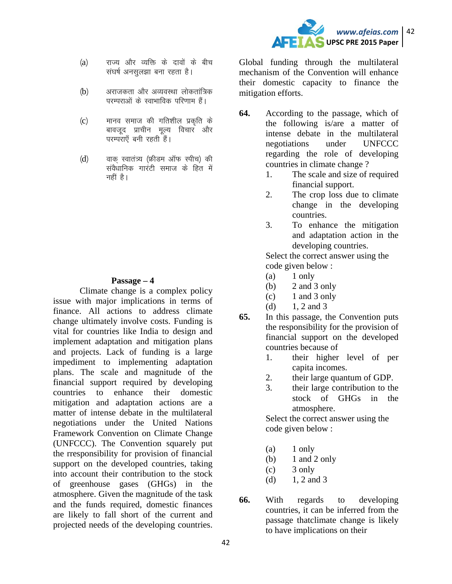

- (a) राज्य और व्यक्ति के दावों के बीच संघर्ष अनसूलझा बना रहता है।
- (b) अराजकता और अव्यवस्था लोकतांत्रिक परम्पराओं के स्वाभाविक परिणाम हैं।
- (c) मानव समाज की गतिशील प्रकृति के बावजूद प्राचीन मूल्य विचार और परम्पराएँ बनी रहती हैं।
- (d) वाक स्वातंत्र्य (फ्रीडम ऑफ स्पीच) की सवैधानिक गारंटी समाज के हित में नहीं है।

#### **Passage – 4**

Climate change is a complex policy issue with major implications in terms of finance. All actions to address climate change ultimately involve costs. Funding is vital for countries like India to design and implement adaptation and mitigation plans and projects. Lack of funding is a large impediment to implementing adaptation plans. The scale and magnitude of the financial support required by developing countries to enhance their domestic mitigation and adaptation actions are a matter of intense debate in the multilateral negotiations under the United Nations Framework Convention on Climate Change (UNFCCC). The Convention squarely put the rresponsibility for provision of financial support on the developed countries, taking into account their contribution to the stock of greenhouse gases (GHGs) in the atmosphere. Given the magnitude of the task and the funds required, domestic finances are likely to fall short of the current and projected needs of the developing countries.

Global funding through the multilateral mechanism of the Convention will enhance their domestic capacity to finance the mitigation efforts.

- **64.** According to the passage, which of the following is/are a matter of intense debate in the multilateral negotiations under UNFCCC regarding the role of developing countries in climate change ?
	- 1. The scale and size of required financial support.
	- 2. The crop loss due to climate change in the developing countries.
	- 3. To enhance the mitigation and adaptation action in the developing countries.

Select the correct answer using the code given below :

- $(a)$  1 only
- (b) 2 and 3 only
- $(c)$  1 and 3 only
- (d)  $1, 2$  and 3
- **65.** In this passage, the Convention puts the responsibility for the provision of financial support on the developed countries because of
	- 1. their higher level of per capita incomes.
	- 2. their large quantum of GDP.
	- 3. their large contribution to the stock of GHGs in the atmosphere.

Select the correct answer using the code given below :

- $(a)$  1 only
- $(b)$  1 and 2 only
- $\cosh 3$  only
- (d)  $1, 2$  and 3
- **66.** With regards to developing countries, it can be inferred from the passage thatclimate change is likely to have implications on their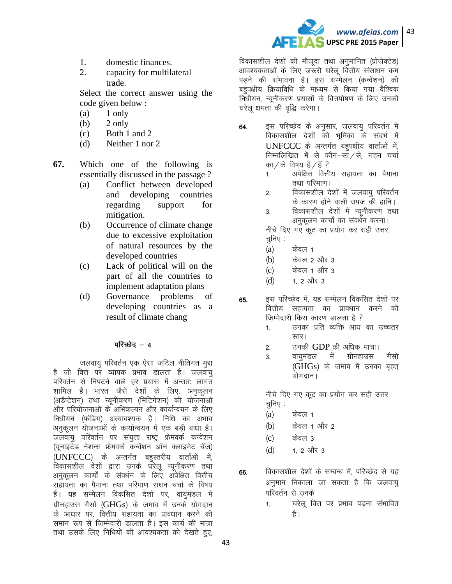

- $1_{-}$ domestic finances.
- $2<sup>1</sup>$ capacity for multilateral trade.

Select the correct answer using the code given below :

- $(a)$ 1 only
- $(b)$ 2 only
- Both 1 and 2  $(c)$
- $(d)$ Neither 1 nor 2
- 67. Which one of the following is essentially discussed in the passage?
	- Conflict between developed  $(a)$ and developing countries regarding support for mitigation.
	- Occurrence of climate change  $(b)$ due to excessive exploitation of natural resources by the developed countries
	- Lack of political will on the  $(c)$ part of all the countries to implement adaptation plans
	- $(d)$ Governance problems of developing countries as a result of climate chang

# परिच्छेद $-4$

जलवायू परिवर्तन एक ऐसा जटिल नीतिगत मुद्दा .<br>है जो वित्त पर व्यापक प्रभाव डालता है। जलवाय<u>ु</u> परिवर्तन से निपटने वाले हर प्रयास में अन्ततः लागत शामिल है। भारत जैसे देशों के लिए, अनुकूलन (अडैप्टेशन) तथा न्यूनीकरण (मिटिगेशन) की योजनाओं .<br>और परियोजनाओं के अभिकल्पन और कार्यान्वयन के लिए निधीयन (फंडिग) अत्यावश्यक है। निधि का अभाव अनुकूलन योजनाओं के कार्यान्वयन में एक बड़ी बाधा है। जलवायु परिवर्तन पर संयुक्त राष्ट्र फ्रेमवर्क कन्वेंशन (यूनाइटेड नेशन्स फ्रेमवर्क कन्वेंशन ऑन क्लाइमेट चेंज) (UNFCCC) के अन्तर्गत बहुस्तरीय वार्ताओं में, विकासशील देशों द्वारा उनके घरेलू न्यूनीकरण तथा अनुकूलन कार्यों के संवर्धन के लिए अपेक्षित वित्तीय सहायता का पैमाना तथा परिमाण सघन चर्चा के विषय हैं। यह सम्मेलन विकसित देशों पर, वायुमंडल में ग्रीनहाउस गैसों (GHGs) के जमाव में उनके योगदान के आधार पर वित्तीय संहायता का प्रावधान करने की समान रूप से जिम्मेदारी डालता है। इस कार्य की मात्रा तथा उसके लिए निधियों की आवश्यकता को देखते हुए,

विकासशील देशों की मौजूदा तथा अनुमानित (प्रोजेक्टेड) आवश्यकताओं के लिए जरूरी घरेलू वित्तीय संसाधन कम पड़ने की संभावना है। इस सम्मेलन (कन्वेंशन) की बहुपक्षीय क्रियाविधि के माध्यम से किया गया वैश्विक निधीयन, न्यूनीकरण प्रयासों के वित्तपोषण के लिए उनकी घरेलू क्षमता की वृद्धि करेगा।

- इस परिच्छेद के अनुसार, जलवायु परिवर्तन में 64. विकासशील देशों की भूमिका के संदर्भ में UNFCCC के अन्तर्गत बहुपक्षीय वार्ताओं में, निम्नलिखित में से कौन–सा7से. गहन चर्चा का / के विषय है / हैं ?
	- अपेक्षित वित्तीय सहायता का पैमाना  $1.$ तथा परिमाण।
	- विकासशील देशों में जलवायु परिवर्तन  $2.$ के कारण होने वाली उपज की हानि।
	- विकासशील देशों में न्यूनीकरण तथा 3. अनुकूलन कार्यों का संवर्धन करना।

नीचे दिए गए कूट का प्रयोग कर सही उत्तर चुनिए :

- $(a)$ केवल 1
- $(b)$ केवल 2 और 3
- केवल 1 और 3  $(c)$
- 1, 2 और 3  $(d)$
- इस परिच्छेद में, यह सम्मेलन विकसित देशों पर 65. वित्तीय सहायता का प्रावधान करने की जिम्मेदारी किस कारण डालता है ?
	- उनका प्रति व्यक्ति आय का उच्चतर  $1<sub>1</sub>$ स्तर।
	- उनकी GDP की अधिक मात्रा।  $\mathfrak{D}$
	- $3.$ वायुमंडल मे ग्रीनहाउस गैसो (GHGs) के जमाव में उनका बृहत योगदान।

नीचे दिए गए कूट का प्रयोग कर सही उत्तर चूनिए :

- $(a)$ केवल 1
- केवल 1 और 2  $(b)$
- $(c)$ केवल 3
- $(d)$ 1. 2 और 3
- विकासशील देशों के सम्बन्ध में, परिच्छेद से यह 66. अनुमान निकाला जा सकता है कि जलवायू परिवर्तन से उनके
	- घरेलू वित्त पर प्रभाव पडना संभावित  $1.$ है ।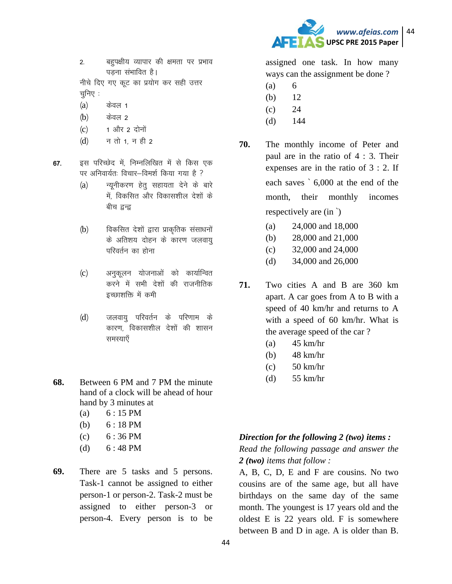

2. बहुपक्षीय व्यापार की क्षमता पर प्रभाव पडना संभावित है।

नीचे दिए गए कूट का प्रयोग कर सही उत्तर चुनिए $:$ 

- $(a)$  केवल 1
- $(b)$  केवल 2
- $(c)$  1 और 2 दोनों
- $(d)$  नतो 1 न ही 2

67. इस परिच्छेद में, निम्नलिखित में से किस एक पर अनिवार्यतः विचार–विमर्श किया गया है ?

- (a) न्यूनीकरण हेतू सहायता देने के बारे में, विकसित और विकासशील देशों के बीच द्रन्द्र
- (b) विकसित देशों द्वारा प्राकृतिक संसाधनों के अतिशय दोहन के कारण जलवायु परिवर्तन का होना
- (c) अनुकूलन योजनाओं को कार्यान्वित करने में सभी देशों की राजनीतिक इच्छाशक्ति में कमी
- (d) जलवायू परिवर्तन के परिणाम के कारण, विकासशील देशों की शासन समस्याएँ
- **68.** Between 6 PM and 7 PM the minute hand of a clock will be ahead of hour hand by 3 minutes at
	- (a)  $6:15 \text{ PM}$
	- (b)  $6:18 \text{ PM}$
	- $(c) 6 : 36 PM$
	- (d)  $6:48 \text{ PM}$
- **69.** There are 5 tasks and 5 persons. Task-1 cannot be assigned to either person-1 or person-2. Task-2 must be assigned to either person-3 or person-4. Every person is to be

assigned one task. In how many ways can the assignment be done ?

- $(a) 6$
- (b) 12
- $(c)$  24
- (d) 144
- **70.** The monthly income of Peter and paul are in the ratio of 4 : 3. Their expenses are in the ratio of 3 : 2. If each saves ` 6,000 at the end of the month, their monthly incomes respectively are (in `)
	- (a) 24,000 and 18,000
	- (b) 28,000 and 21,000
	- (c) 32,000 and 24,000
	- (d) 34,000 and 26,000
- **71.** Two cities A and B are 360 km apart. A car goes from A to B with a speed of 40 km/hr and returns to A with a speed of 60 km/hr. What is the average speed of the car ?
	- (a) 45 km/hr
	- (b) 48 km/hr
	- $\frac{1}{2}$  50 km/hr
	- (d) 55 km/hr

### *Direction for the following 2 (two) items :*

*Read the following passage and answer the 2 (two) items that follow :* 

A, B, C, D, E and F are cousins. No two cousins are of the same age, but all have birthdays on the same day of the same month. The youngest is 17 years old and the oldest E is 22 years old. F is somewhere between B and D in age. A is older than B.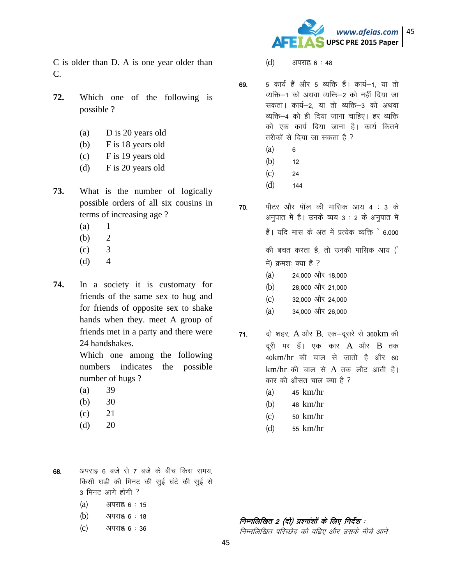

C is older than D. A is one year older than C.

- **72.** Which one of the following is possible ?
	- (a) D is 20 years old
	- (b) F is 18 years old
	- (c) F is 19 years old
	- (d) F is 20 years old
- **73.** What is the number of logically possible orders of all six cousins in terms of increasing age ?
	- $(a)$  1
	- $(b)$  2
	- $(c)$  3
	- $(d)$  4
- **74.** In a society it is customaty for friends of the same sex to hug and for friends of opposite sex to shake hands when they. meet A group of friends met in a party and there were 24 handshakes.

Which one among the following numbers indicates the possible number of hugs ?

- (a) 39
- (b) 30
- $(c)$  21
- $(d)$  20
- $(d)$  अपराह 6 : 48
- 69. 5 कार्य हैं और 5 व्यक्ति हैं। कार्य-1, या तो व्यक्ति-1 को अथवा व्यक्ति-2 को नहीं दिया जा सकता। कार्य-2, या तो व्यक्ति-3 को अथवा व्यक्ति-4 को ही दिया जाना चाहिए। हर व्यक्ति को एक कार्य दिया जाना है। कार्य कितने तरीकों से दिया जा सकता है ?
	- $(a)$  6
	- $(b)$  12
	- $(c)$  24
	- $(d)$  144
- 70.  $\frac{1}{2}$ पीटर और पॉल की मासिक आय 4 : 3 के अनुपात में है। उनके व्यय 3 : 2 के अनुपात में हैं। यदि मास के अंत में प्रत्येक व्यक्ति ` 6,000 की बचत करता है, तो उनकी मासिक आय $($ में) क्रमशः क्या हैं ?
	- $(a)$  24,000 और 18,000
	- (b) 28,000 और 21,000
	- (c) 32,000 और 24,000
	- (a) 34,000 और 26,000
- 71.  $\vec{r}$  दो शहर, A और B, एक-दूसरे से 360km की दूरी पर हैं। एक कार  $A$  और  $B$  तक  $40 \text{km/hr}$  की चाल से जाती है और 60 km/hr की चाल से A तक लौट आती है। कार की औसत चाल क्या है ?
	- (a)  $45 \text{ km/hr}$
	- $(b)$  48 km/hr
	- $\langle c \rangle$  50 km/hr
	- $(d)$  55 km/hr

- $68.$  अपराह 6 बजे से 7 बजे के बीच किस समय, किसी घड़ी की मिनट की सुई घंटे की सुई से  $3$  मिनट आगे होगी  $\overline{?}$ 
	- $(a)$  अपराह 6 : 15
	- $(b)$  3 अपराह 6 : 18
	- (c) अपराह 6 : 36

निम्नलिखित 2 (दो) प्रश्नांशों के लिए निर्देश :

निम्नलिखित परिच्छेद को पढिए और उसके नीचे आने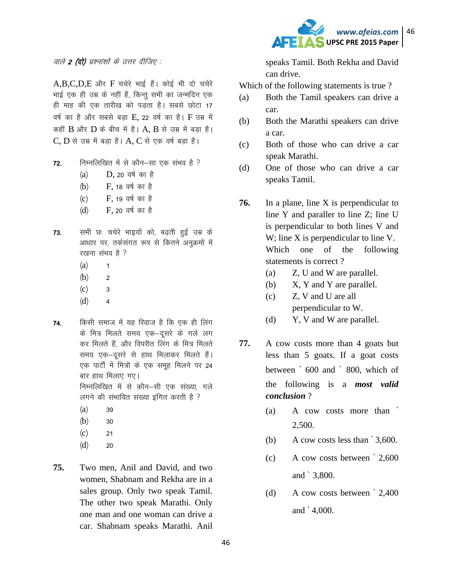

वाले **2 (दो)** प्रश्नांशों के उत्तर दीजिए :

 $A.B.C.D.E$  और  $F$  चचेरे भाई हैं। कोई भी दो चचेरे भाई एक ही उम्र के नहीं हैं, किन्तु सभी का जन्मदिन एक ही माह की एक तारीख को पड़ता है। सबसे छोटा 17  $q$  का है और सबसे बड़ा E, 22 वर्ष का है। F उम्र में कहीं B और D के बीच में है। A, B से उम्र में बड़ा है।  $C, D$  से उम्र में बड़ा है।  $A, C$  से एक वर्ष बड़ा है।

- $72.$  निम्नलिखित में से कौन-सा एक संभव है ?
	- $(a)$  D, 20 वर्ष का है
	- $(b)$  F, 18 वर्ष का है
	- (c)  $F$ , 19 वर्ष का है
	- $(d)$  F, 20 वर्ष का है
- 73. सभी छः चचेरे भाइयों को, बढ़ती हुई उम्र के आधार पर, तर्कसंगत रूप से कितने अनुक्रमों में रखना संभव है ?
	- $(a)$  1
	- $(b)$  2
	- $\begin{pmatrix} c \\ c \end{pmatrix}$  3
	- $(d)$  4
- 74. किसी समाज में यह रिवाज है कि एक ही लिंग के मित्र मिलते समय एक-दसरे के गले लग कर मिलते हैं, और विपरीत लिंग के मित्र मिलते समय एक-दूसरे से हाथ मिलाकर मिलते हैं। एक पार्टी में मित्रों के एक समूह मिलने पर 24 बार हाथ मिलाए गए। निम्नलिखित में से कौन–सी एक संख्या, गले

लगने की संभावित संख्या इंगित करती है ?  $(a)$  39

- $(b)$  30
- 
- $(c)$  21
- $(d)$  20
- **75.** Two men, Anil and David, and two women, Shabnam and Rekha are in a sales group. Only two speak Tamil. The other two speak Marathi. Only one man and one woman can drive a car. Shabnam speaks Marathi. Anil

speaks Tamil. Both Rekha and David can drive.

Which of the following statements is true ?

- (a) Both the Tamil speakers can drive a car.
- (b) Both the Marathi speakers can drive a car.
- (c) Both of those who can drive a car speak Marathi.
- (d) One of those who can drive a car speaks Tamil.
- **76.** In a plane, line X is perpendicular to line Y and paraller to line Z; line U is perpendicular to both lines V and W; line X is perpendicular to line V. Which one of the following statements is correct ?
	- (a) Z, U and W are parallel.
	- (b) X, Y and Y are parallel.
	- (c) Z, V and U are all perpendicular to W.
	- (d) Y, V and W are parallel.
- **77.** A cow costs more than 4 goats but less than 5 goats. If a goat costs between ` 600 and ` 800, which of the following is a *most valid conclusion* ?
	- (a) A cow costs more than ` 2,500.
	- (b) A cow costs less than ` 3,600.
	- (c) A cow costs between ` 2,600 and ` 3,800.
	- (d) A cow costs between ` 2,400 and ` 4,000.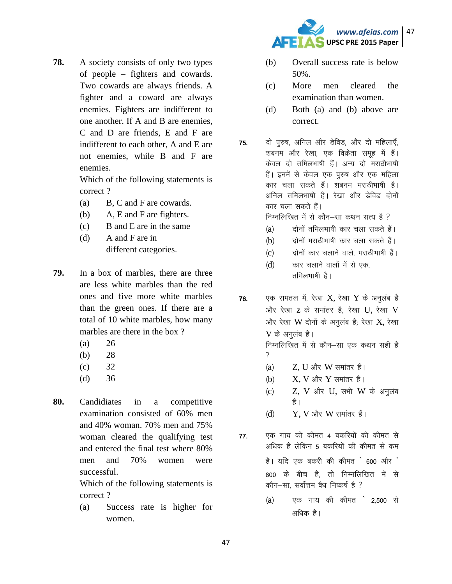

**78.** A society consists of only two types of people – fighters and cowards. Two cowards are always friends. A fighter and a coward are always enemies. Fighters are indifferent to one another. If A and B are enemies, C and D are friends, E and F are indifferent to each other, A and E are not enemies, while B and F are enemies.

> Which of the following statements is correct ?

- (a) B, C and F are cowards.
- (b) A, E and F are fighters.
- (c) B and E are in the same
- (d) A and F are in different categories.
- **79.** In a box of marbles, there are three are less white marbles than the red ones and five more white marbles than the green ones. If there are a total of 10 white marbles, how many marbles are there in the box ?
	- (a) 26
	- (b) 28
	- (c) 32
	- (d) 36
- **80.** Candidiates in a competitive examination consisted of 60% men and 40% woman. 70% men and 75% woman cleared the qualifying test and entered the final test where 80% men and 70% women were successful.

Which of the following statements is correct ?

(a) Success rate is higher for women.

- (b) Overall success rate is below 50%.
- (c) More men cleared the examination than women.
- (d) Both (a) and (b) above are correct.
- 75. वो पुरुष, अनिल और डेविड, और दो महिलाएँ, शबनम और रेखा, एक विक्रेता समूह में हैं। केवल दो तमिलभाषी हैं। अन्य दो मराठीभाषी हैं। इनमें से केवल एक पुरुष और एक महिला कार चला सकते हैं। शबनम मराठीभाषी है। अनिल तमिलभाषी है। रेखा और डेविड दोनों कार चला सकते हैं।

निम्नलिखित में से कौन–सा कथन सत्य है ?

- (a) वोनों तमिलभाषी कार चला सकते हैं।
- (b) वोनों मराठीभाषी कार चला सकते हैं।
- (c) वोनों कार चलाने वाले. मराठीभाषी हैं।
- $(d)$  कार चलाने वालों में से एक, तमिलभाषी है।
- **76.** पक समतल में, रेखा  $X$ , रेखा  $Y$  के अनुलंब है और रेखा  $z$  के समांतर है; रेखा  $U$ , रेखा  $V$ और रेखा  $W$  दोनों के अनुलंब है; रेखा  $X$ , रेखा  $V$  के अनलंब है। निम्नलिखित में से कौन–सा एक कथन सही है  $\mathcal{L}$ 
	- (a)  $Z$ , U और W समांतर है।
	- (b)  $X, V$  और Y समांतर है।
	- (c)  $Z$ , V और U, सभी W के अनुलंब है ।
	- (d)  $Y, V \triangleleft N$  समांतर है।
- 77. पिंक गाय की कीमत 4 बकरियों की कीमत से अधिक है लेकिन 5 बकरियों की कीमत से कम है। यदि एक बकरी की कीमत `600 और ` 800 के बीच है, तो निम्नलिखित में से कौन-सा सर्वोत्तम वैध निष्कर्ष है ?
	- (a) एक गाय की कीमत ` 2.500 से अधिक है।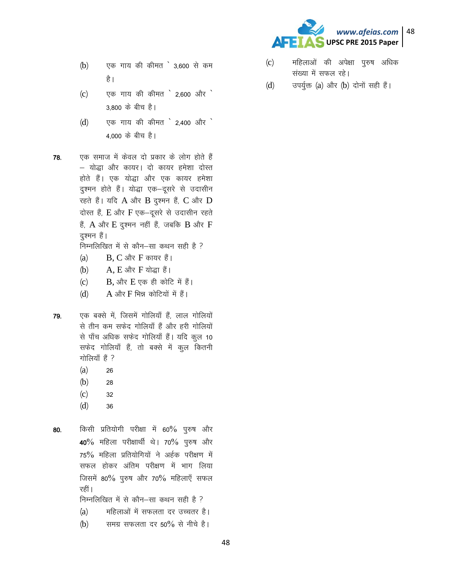

- (b) एक गाय की कीमत `3,600 से कम है।
- $(c)$  एक गाय की कीमत ` 2,600 और ` 3,800 के बीच है।
- $(d)$  एक गाय की कीमत ` 2,400 और ` 4.000 के बीच है।
- 78. पिंक समाज में केवल दो प्रकार के लोग होते हैं - योद्धा और कायर। दो कायर हमेशा दोस्त होते हैं। एक योद्धा और एक कायर हमेशा दुश्मन होते हैं। योद्धा एक-दूसरे से उदासीन रहते हैं। यदि A और B दुश्मन हैं, C और D दोस्त हैं, E और F एक-दूसरे से उदासीन रहते हैं,  $\rm A$  और  $\rm E$  दृश्मन नहीं हैं, जबकि  $\rm B$  और  $\rm F$ दुश्मन हैं।

निम्नलिखित में से कौन–सा कथन सही है ?

- (a) B, C और F कायर हैं।
- (b)  $A, E \, \text{and} \, F \, \text{and} \, \hat{\epsilon}$ ।
- (c) B, और E एक ही कोटि में हैं।
- (d) A और F भिन्न कोटियों में हैं।
- 79. एक बक्से में, जिसमें गोलियाँ हैं, लाल गोलियों से तीन कम सफेद गोलियाँ हैं और हरी गोलियों से पाँच अधिक सफेद गोलियाँ हैं। यदि कुल 10 सफेद गोलियाँ हैं, तो बक्से में कुल कितनी गोलियाँ हैं $\overline{z}$ 
	- $(a)$  26
	- $(b)$  28
	- $\langle c \rangle$  32
	- $(d)$  36

80. किसी प्रतियोगी परीक्षा में 60% पुरुष और  $40\%$  महिला परीक्षार्थी थे। 70% पुरुष और  $75\%$  महिला प्रतियोगियों ने अर्हक परीक्षण में सफल होकर अंतिम परीक्षण में भाग लिया जिसमें 80% पुरुष और 70% महिलाएँ सफल रहीं ।

निम्नलिखित में से कौन-सा कथन सही है ?

- (a) महिलाओं में सफलता दर उच्चतर है।
- (b) समग्र सफलता दर 50% से नीचे है।
- (c) महिलाओं की अपेक्षा पुरुष अधिक संख्या में सफल रहे।
- (d) उपर्युक्त (a) और (b) दोनों सही हैं।